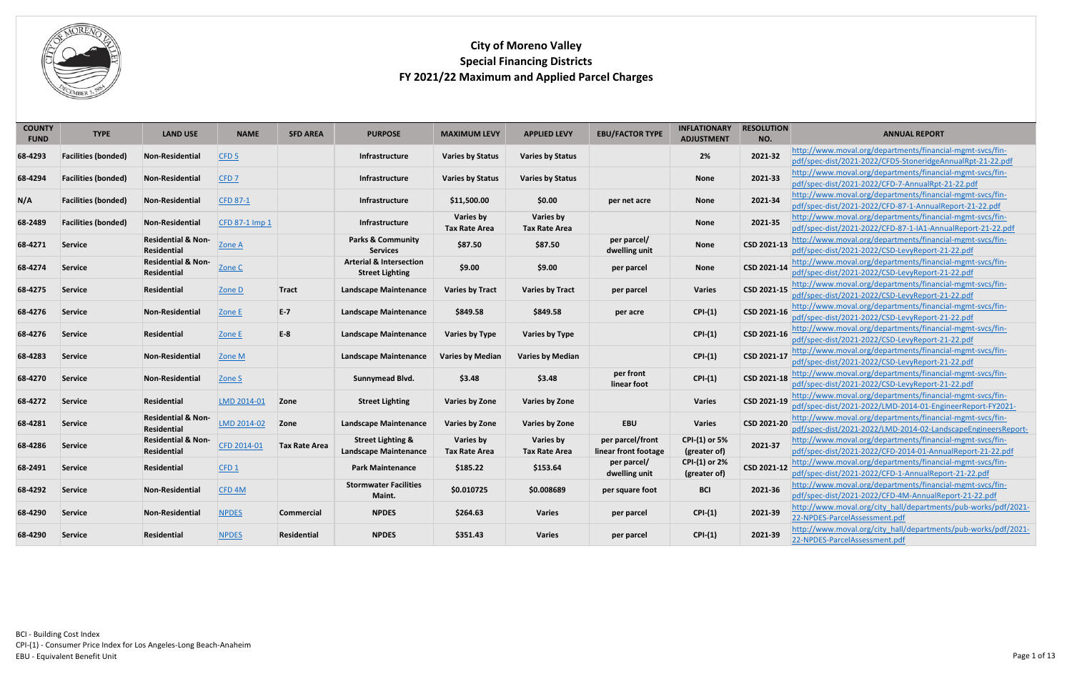| <b>COUNTY</b><br><b>FUND</b> | <b>TYPE</b>                | <b>LAND USE</b>                                     | <b>NAME</b>       | <b>SFD AREA</b>      | <b>PURPOSE</b>                                               | <b>MAXIMUM LEVY</b>                      | <b>APPLIED LEVY</b>                      | <b>EBU/FACTOR TYPE</b>                   | <b>INFLATIONARY</b><br><b>ADJUSTMENT</b> | <b>RESOLUTION</b><br>NO. | <b>ANNUAL REPORT</b>                                                                                                       |
|------------------------------|----------------------------|-----------------------------------------------------|-------------------|----------------------|--------------------------------------------------------------|------------------------------------------|------------------------------------------|------------------------------------------|------------------------------------------|--------------------------|----------------------------------------------------------------------------------------------------------------------------|
| 68-4293                      | <b>Facilities (bonded)</b> | <b>Non-Residential</b>                              | CFD <sub>5</sub>  |                      | <b>Infrastructure</b>                                        | <b>Varies by Status</b>                  | <b>Varies by Status</b>                  |                                          | 2%                                       | 2021-32                  | http://www.moval.org/departments/financial-mgmt-svcs/fin-<br>pdf/spec-dist/2021-2022/CFD5-StoneridgeAnnualRpt-21-22.pdf    |
| 68-4294                      | <b>Facilities (bonded)</b> | <b>Non-Residential</b>                              | CFD <sub>7</sub>  |                      | <b>Infrastructure</b>                                        | <b>Varies by Status</b>                  | <b>Varies by Status</b>                  |                                          | <b>None</b>                              | 2021-33                  | http://www.moval.org/departments/financial-mgmt-svcs/fin-<br>pdf/spec-dist/2021-2022/CFD-7-AnnualRpt-21-22.pdf             |
| N/A                          | <b>Facilities (bonded)</b> | <b>Non-Residential</b>                              | <b>CFD 87-1</b>   |                      | <b>Infrastructure</b>                                        | \$11,500.00                              | \$0.00                                   | per net acre                             | <b>None</b>                              | 2021-34                  | http://www.moval.org/departments/financial-mgmt-svcs/fin-<br>pdf/spec-dist/2021-2022/CFD-87-1-AnnualReport-21-22.pdf       |
| 68-2489                      | <b>Facilities (bonded)</b> | Non-Residential                                     | CFD 87-1 Imp 1    |                      | <b>Infrastructure</b>                                        | Varies by<br><b>Tax Rate Area</b>        | Varies by<br><b>Tax Rate Area</b>        |                                          | <b>None</b>                              | 2021-35                  | http://www.moval.org/departments/financial-mgmt-svcs/fin-<br>pdf/spec-dist/2021-2022/CFD-87-1-IA1-AnnualReport-21-22.pdf   |
| 68-4271                      | <b>Service</b>             | <b>Residential &amp; Non-</b><br><b>Residential</b> | Zone A            |                      | <b>Parks &amp; Community</b><br><b>Services</b>              | \$87.50                                  | \$87.50                                  | per parcel/<br>dwelling unit             | <b>None</b>                              | CSD 2021-13              | http://www.moval.org/departments/financial-mgmt-svcs/fin-<br>pdf/spec-dist/2021-2022/CSD-LevyReport-21-22.pdf              |
| 68-4274                      | Service                    | <b>Residential &amp; Non-</b><br><b>Residential</b> | Zone C            |                      | <b>Arterial &amp; Intersection</b><br><b>Street Lighting</b> | \$9.00                                   | \$9.00                                   | per parcel                               | <b>None</b>                              | CSD 2021-14              | http://www.moval.org/departments/financial-mgmt-svcs/fin-<br>pdf/spec-dist/2021-2022/CSD-LevyReport-21-22.pdf              |
| 68-4275                      | Service                    | Residential                                         | Zone D            | <b>Tract</b>         | <b>Landscape Maintenance</b>                                 | <b>Varies by Tract</b>                   | <b>Varies by Tract</b>                   | per parcel                               | <b>Varies</b>                            | CSD 2021-15              | http://www.moval.org/departments/financial-mgmt-svcs/fin-<br>pdf/spec-dist/2021-2022/CSD-LevyReport-21-22.pdf              |
| 68-4276                      | <b>Service</b>             | <b>Non-Residential</b>                              | Zone E            | $E-7$                | <b>Landscape Maintenance</b>                                 | \$849.58                                 | \$849.58                                 | per acre                                 | $CPI-(1)$                                | CSD 2021-16              | http://www.moval.org/departments/financial-mgmt-svcs/fin-<br>pdf/spec-dist/2021-2022/CSD-LevyReport-21-22.pdf              |
| 68-4276                      | <b>Service</b>             | Residential                                         | Zone E            | $E-8$                | <b>Landscape Maintenance</b>                                 | <b>Varies by Type</b>                    | <b>Varies by Type</b>                    |                                          | $CPI-(1)$                                | CSD 2021-16              | http://www.moval.org/departments/financial-mgmt-svcs/fin-<br>pdf/spec-dist/2021-2022/CSD-LevyReport-21-22.pdf              |
| 68-4283                      | Service                    | Non-Residential                                     | Zone M            |                      | <b>Landscape Maintenance</b>                                 | <b>Varies by Median</b>                  | <b>Varies by Median</b>                  |                                          | $CPI-(1)$                                | CSD 2021-17              | http://www.moval.org/departments/financial-mgmt-svcs/fin-<br>pdf/spec-dist/2021-2022/CSD-LevyReport-21-22.pdf              |
| 68-4270                      | Service                    | <b>Non-Residential</b>                              | Zone S            |                      | Sunnymead Blvd.                                              | \$3.48                                   | \$3.48                                   | per front<br>linear foot                 | $CPI-(1)$                                | CSD 2021-18              | http://www.moval.org/departments/financial-mgmt-svcs/fin-<br>pdf/spec-dist/2021-2022/CSD-LevyReport-21-22.pdf              |
| 68-4272                      | Service                    | Residential                                         | LMD 2014-01       | Zone                 | <b>Street Lighting</b>                                       | <b>Varies by Zone</b>                    | <b>Varies by Zone</b>                    |                                          | <b>Varies</b>                            | CSD 2021-19              | http://www.moval.org/departments/financial-mgmt-svcs/fin-<br>pdf/spec-dist/2021-2022/LMD-2014-01-EngineerReport-FY2021-    |
| 68-4281                      | Service                    | <b>Residential &amp; Non-</b><br><b>Residential</b> | LMD 2014-02       | Zone                 | <b>Landscape Maintenance</b>                                 | <b>Varies by Zone</b>                    | <b>Varies by Zone</b>                    | <b>EBU</b>                               | <b>Varies</b>                            | CSD 2021-20              | http://www.moval.org/departments/financial-mgmt-svcs/fin-<br>pdf/spec-dist/2021-2022/LMD-2014-02-LandscapeEngineersReport- |
| 68-4286                      | Service                    | <b>Residential &amp; Non-</b><br><b>Residential</b> | CFD 2014-01       | <b>Tax Rate Area</b> | <b>Street Lighting &amp;</b><br><b>Landscape Maintenance</b> | <b>Varies by</b><br><b>Tax Rate Area</b> | <b>Varies by</b><br><b>Tax Rate Area</b> | per parcel/front<br>linear front footage | <b>CPI-(1) or 5%</b><br>(greater of)     | 2021-37                  | http://www.moval.org/departments/financial-mgmt-svcs/fin-<br>pdf/spec-dist/2021-2022/CFD-2014-01-AnnualReport-21-22.pdf    |
| 68-2491                      | Service                    | <b>Residential</b>                                  | CFD1              |                      | <b>Park Maintenance</b>                                      | \$185.22                                 | \$153.64                                 | per parcel/<br>dwelling unit             | CPI-(1) or 2%<br>(greater of)            | CSD 2021-12              | http://www.moval.org/departments/financial-mgmt-svcs/fin-<br>pdf/spec-dist/2021-2022/CFD-1-AnnualReport-21-22.pdf          |
| 68-4292                      | Service                    | Non-Residential                                     | CFD <sub>4M</sub> |                      | <b>Stormwater Facilities</b><br>Maint.                       | \$0.010725                               | \$0.008689                               | per square foot                          | <b>BCI</b>                               | 2021-36                  | http://www.moval.org/departments/financial-mgmt-svcs/fin-<br>pdf/spec-dist/2021-2022/CFD-4M-AnnualReport-21-22.pdf         |
| 68-4290                      | Service                    | Non-Residential                                     | <b>NPDES</b>      | Commercial           | <b>NPDES</b>                                                 | \$264.63                                 | <b>Varies</b>                            | per parcel                               | $CPI-(1)$                                | 2021-39                  | http://www.moval.org/city hall/departments/pub-works/pdf/2021-<br>22-NPDES-ParcelAssessment.pdf                            |
| 68-4290                      | Service                    | Residential                                         | <b>NPDES</b>      | Residential          | <b>NPDES</b>                                                 | \$351.43                                 | <b>Varies</b>                            | per parcel                               | $CPI-(1)$                                | 2021-39                  | http://www.moval.org/city hall/departments/pub-works/pdf/2021-<br>22-NPDES-ParcelAssessment.pdf                            |

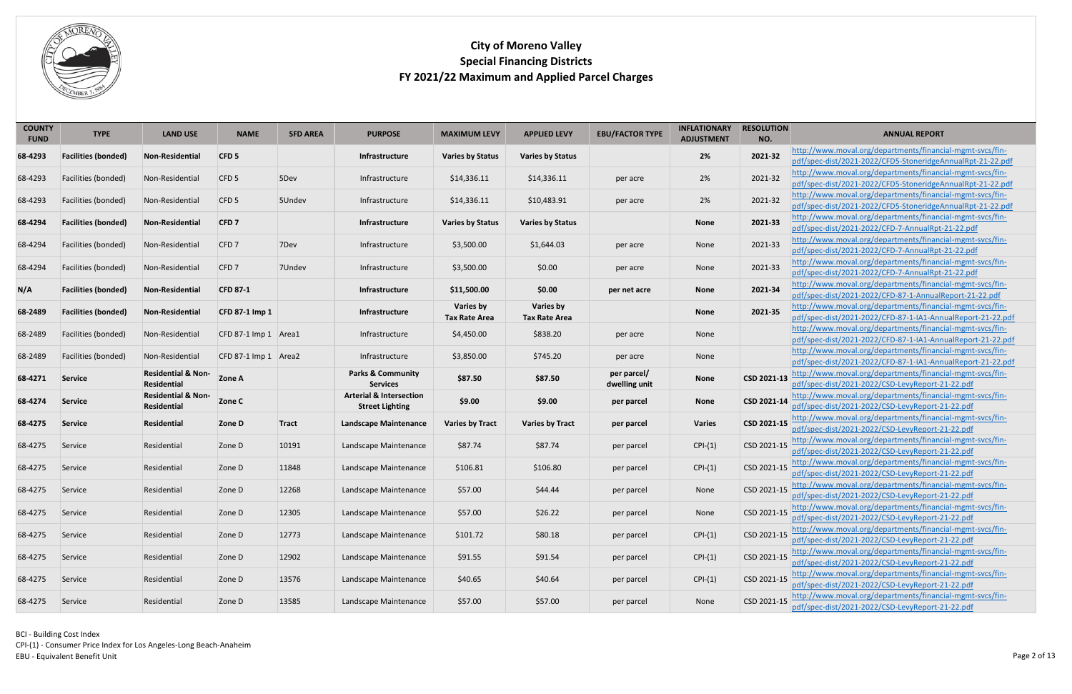

<span id="page-1-4"></span><span id="page-1-3"></span><span id="page-1-2"></span><span id="page-1-1"></span><span id="page-1-0"></span>

| <b>COUNTY</b><br><b>FUND</b> | <b>TYPE</b>                | <b>LAND USE</b>               | <b>NAME</b>          | <b>SFD AREA</b> | <b>PURPOSE</b>                     | <b>MAXIMUM LEVY</b>     | <b>APPLIED LEVY</b>     | <b>EBU/FACTOR TYPE</b> | <b>INFLATIONARY</b><br><b>ADJUSTMENT</b> | <b>RESOLUTION</b><br>NO. | <b>ANNUAL REPORT</b>                                                                                           |
|------------------------------|----------------------------|-------------------------------|----------------------|-----------------|------------------------------------|-------------------------|-------------------------|------------------------|------------------------------------------|--------------------------|----------------------------------------------------------------------------------------------------------------|
|                              |                            |                               |                      |                 |                                    |                         |                         |                        |                                          |                          | http://www.moval.org/departments/financial-mgmt-svcs/fin-                                                      |
| 68-4293                      | <b>Facilities (bonded)</b> | <b>Non-Residential</b>        | CFD <sub>5</sub>     |                 | Infrastructure                     | <b>Varies by Status</b> | <b>Varies by Status</b> |                        | 2%                                       | 2021-32                  | pdf/spec-dist/2021-2022/CFD5-StoneridgeAnnualRpt-21-22.pdf                                                     |
| 68-4293                      | Facilities (bonded)        | Non-Residential               | CFD <sub>5</sub>     | 5Dev            | Infrastructure                     | \$14,336.11             | \$14,336.11             | per acre               | 2%                                       | 2021-32                  | http://www.moval.org/departments/financial-mgmt-svcs/fin-                                                      |
|                              |                            |                               |                      |                 |                                    |                         |                         |                        |                                          |                          | pdf/spec-dist/2021-2022/CFD5-StoneridgeAnnualRpt-21-22.pdf                                                     |
| 68-4293                      | Facilities (bonded)        | Non-Residential               | CFD <sub>5</sub>     | 5Undev          | Infrastructure                     | \$14,336.11             | \$10,483.91             | per acre               | 2%                                       | 2021-32                  | http://www.moval.org/departments/financial-mgmt-svcs/fin-                                                      |
|                              |                            |                               |                      |                 |                                    |                         |                         |                        |                                          |                          | pdf/spec-dist/2021-2022/CFD5-StoneridgeAnnualRpt-21-22.pdf                                                     |
| 68-4294                      | <b>Facilities (bonded)</b> | Non-Residential               | CFD7                 |                 | <b>Infrastructure</b>              | <b>Varies by Status</b> | <b>Varies by Status</b> |                        | <b>None</b>                              | 2021-33                  | http://www.moval.org/departments/financial-mgmt-svcs/fin-<br>pdf/spec-dist/2021-2022/CFD-7-AnnualRpt-21-22.pdf |
| 68-4294                      | Facilities (bonded)        | Non-Residential               | CFD 7                | 7Dev            | Infrastructure                     | \$3,500.00              | \$1,644.03              | per acre               | None                                     | 2021-33                  | http://www.moval.org/departments/financial-mgmt-svcs/fin-<br>pdf/spec-dist/2021-2022/CFD-7-AnnualRpt-21-22.pdf |
|                              |                            |                               |                      |                 |                                    |                         |                         |                        |                                          |                          | http://www.moval.org/departments/financial-mgmt-svcs/fin-                                                      |
| 68-4294                      | Facilities (bonded)        | Non-Residential               | CFD 7                | 7Undev          | Infrastructure                     | \$3,500.00              | \$0.00                  | per acre               | None                                     | 2021-33                  | pdf/spec-dist/2021-2022/CFD-7-AnnualRpt-21-22.pdf                                                              |
|                              |                            |                               |                      |                 |                                    |                         |                         |                        |                                          |                          | http://www.moval.org/departments/financial-mgmt-svcs/fin-                                                      |
| N/A                          | <b>Facilities (bonded)</b> | <b>Non-Residential</b>        | <b>CFD 87-1</b>      |                 | Infrastructure                     | \$11,500.00             | \$0.00                  | per net acre           | <b>None</b>                              | 2021-34                  | pdf/spec-dist/2021-2022/CFD-87-1-AnnualReport-21-22.pdf                                                        |
|                              |                            |                               |                      |                 |                                    | Varies by               | Varies by               |                        |                                          |                          | http://www.moval.org/departments/financial-mgmt-svcs/fin-                                                      |
| 68-2489                      | <b>Facilities (bonded)</b> | <b>Non-Residential</b>        | CFD 87-1 Imp 1       |                 | Infrastructure                     | <b>Tax Rate Area</b>    | <b>Tax Rate Area</b>    |                        | <b>None</b>                              | 2021-35                  | pdf/spec-dist/2021-2022/CFD-87-1-IA1-AnnualReport-21-22.pdf                                                    |
|                              |                            |                               |                      |                 |                                    |                         |                         |                        |                                          |                          | http://www.moval.org/departments/financial-mgmt-svcs/fin-                                                      |
| 68-2489                      | Facilities (bonded)        | Non-Residential               | CFD 87-1 Imp 1 Area1 |                 | Infrastructure                     | \$4,450.00              | \$838.20                | per acre               | None                                     |                          | pdf/spec-dist/2021-2022/CFD-87-1-IA1-AnnualReport-21-22.pdf                                                    |
| 68-2489                      | Facilities (bonded)        | Non-Residential               | CFD 87-1 Imp 1 Area2 |                 | Infrastructure                     | \$3,850.00              | \$745.20                | per acre               | None                                     |                          | http://www.moval.org/departments/financial-mgmt-svcs/fin-                                                      |
|                              |                            |                               |                      |                 |                                    |                         |                         |                        |                                          |                          | pdf/spec-dist/2021-2022/CFD-87-1-IA1-AnnualReport-21-22.pdf                                                    |
| 68-4271                      | Service                    | <b>Residential &amp; Non-</b> | Zone A               |                 | <b>Parks &amp; Community</b>       | \$87.50                 | \$87.50                 | per parcel/            | <b>None</b>                              | CSD 2021-13              | http://www.moval.org/departments/financial-mgmt-svcs/fin-                                                      |
|                              |                            | Residential                   |                      |                 | <b>Services</b>                    |                         |                         | dwelling unit          |                                          |                          | pdf/spec-dist/2021-2022/CSD-LevyReport-21-22.pdf                                                               |
| 68-4274                      | Service                    | <b>Residential &amp; Non-</b> | Zone C               |                 | <b>Arterial &amp; Intersection</b> | \$9.00                  | \$9.00                  | per parcel             | <b>None</b>                              | CSD 2021-14              | http://www.moval.org/departments/financial-mgmt-svcs/fin-<br>pdf/spec-dist/2021-2022/CSD-LevyReport-21-22.pdf  |
|                              |                            | Residential                   |                      |                 | <b>Street Lighting</b>             |                         |                         |                        |                                          |                          | http://www.moval.org/departments/financial-mgmt-svcs/fin-                                                      |
| 68-4275                      | Service                    | Residential                   | Zone D               | <b>Tract</b>    | <b>Landscape Maintenance</b>       | <b>Varies by Tract</b>  | <b>Varies by Tract</b>  | per parcel             | <b>Varies</b>                            | CSD 2021-15              | pdf/spec-dist/2021-2022/CSD-LevyReport-21-22.pdf                                                               |
|                              |                            |                               |                      |                 |                                    |                         |                         |                        |                                          |                          | http://www.moval.org/departments/financial-mgmt-svcs/fin-                                                      |
| 68-4275                      | Service                    | Residential                   | Zone D               | 10191           | Landscape Maintenance              | \$87.74                 | \$87.74                 | per parcel             | $CPI-(1)$                                | CSD 2021-15              | pdf/spec-dist/2021-2022/CSD-LevyReport-21-22.pdf                                                               |
|                              |                            |                               |                      |                 |                                    |                         |                         |                        |                                          |                          | CSD 2021-15 http://www.moval.org/departments/financial-mgmt-svcs/fin-                                          |
| 68-4275                      | Service                    | Residential                   | Zone D               | 11848           | Landscape Maintenance              | \$106.81                | \$106.80                | per parcel             | $CPI-(1)$                                |                          | pdf/spec-dist/2021-2022/CSD-LevyReport-21-22.pdf                                                               |
|                              |                            |                               |                      |                 |                                    |                         |                         |                        |                                          | CSD 2021-15              | http://www.moval.org/departments/financial-mgmt-svcs/fin-                                                      |
| 68-4275                      | Service                    | Residential                   | Zone D               | 12268           | Landscape Maintenance              | \$57.00                 | \$44.44                 | per parcel             | None                                     |                          | pdf/spec-dist/2021-2022/CSD-LevyReport-21-22.pdf                                                               |
| 68-4275                      | Service                    | Residential                   | Zone D               | 12305           | Landscape Maintenance              | \$57.00                 | \$26.22                 | per parcel             | None                                     | CSD 2021-15              | http://www.moval.org/departments/financial-mgmt-svcs/fin-                                                      |
|                              |                            |                               |                      |                 |                                    |                         |                         |                        |                                          |                          | pdf/spec-dist/2021-2022/CSD-LevyReport-21-22.pdf                                                               |
| 68-4275                      | Service                    | Residential                   | Zone D               | 12773           | Landscape Maintenance              | \$101.72                | \$80.18                 | per parcel             | $CPI-(1)$                                | CSD 2021-15              | http://www.moval.org/departments/financial-mgmt-svcs/fin-                                                      |
|                              |                            |                               |                      |                 |                                    |                         |                         |                        |                                          |                          | pdf/spec-dist/2021-2022/CSD-LevyReport-21-22.pdf                                                               |
| 68-4275                      | Service                    | Residential                   | Zone D               | 12902           | Landscape Maintenance              | \$91.55                 | \$91.54                 | per parcel             | $CPI-(1)$                                | CSD 2021-15              | http://www.moval.org/departments/financial-mgmt-svcs/fin-                                                      |
|                              |                            |                               |                      |                 |                                    |                         |                         |                        |                                          |                          | pdf/spec-dist/2021-2022/CSD-LevyReport-21-22.pdf                                                               |
| 68-4275                      | Service                    | Residential                   | Zone D               | 13576           | Landscape Maintenance              | \$40.65                 | \$40.64                 | per parcel             | $CPI-(1)$                                | CSD 2021-15              | http://www.moval.org/departments/financial-mgmt-svcs/fin-                                                      |
|                              |                            |                               |                      |                 |                                    |                         |                         |                        |                                          |                          | pdf/spec-dist/2021-2022/CSD-LevyReport-21-22.pdf                                                               |
| 68-4275                      | Service                    | Residential                   | Zone D               | 13585           | Landscape Maintenance              | \$57.00                 | \$57.00                 | per parcel             | None                                     | CSD 2021-15              | http://www.moval.org/departments/financial-mgmt-svcs/fin-<br>pdf/spec-dist/2021-2022/CSD-LevyReport-21-22.pdf  |
|                              |                            |                               |                      |                 |                                    |                         |                         |                        |                                          |                          |                                                                                                                |

<span id="page-1-6"></span><span id="page-1-5"></span>BCI - Building Cost Index CPI-(1) - Consumer Price Index for Los Angeles-Long Beach-Anaheim Page 2 of 13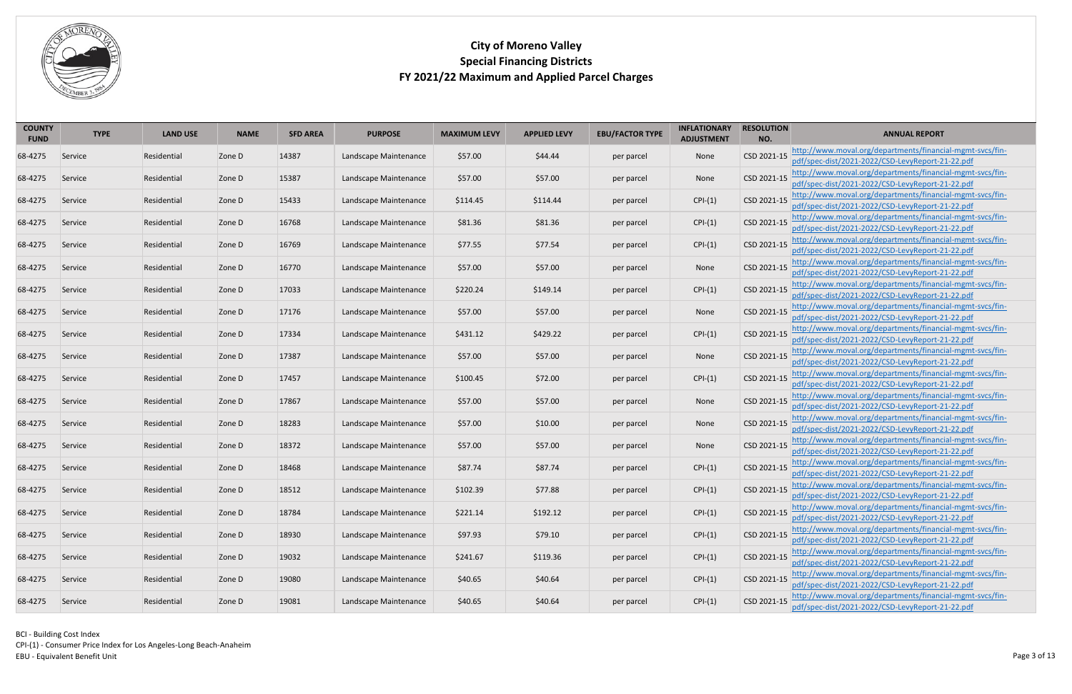

| <b>COUNTY</b><br><b>FUND</b> | <b>TYPE</b> | <b>LAND USE</b> | <b>NAME</b> | <b>SFD AREA</b> | <b>PURPOSE</b>        | <b>MAXIMUM LEVY</b> | <b>APPLIED LEVY</b> | <b>EBU/FACTOR TYPE</b> | <b>INFLATIONARY</b><br><b>ADJUSTMENT</b> | <b>RESOLUTION</b><br>NO. | <b>ANNUAL REPORT</b>                                                                                                      |
|------------------------------|-------------|-----------------|-------------|-----------------|-----------------------|---------------------|---------------------|------------------------|------------------------------------------|--------------------------|---------------------------------------------------------------------------------------------------------------------------|
| 68-4275                      | Service     | Residential     | Zone D      | 14387           | Landscape Maintenance | \$57.00             | \$44.44             | per parcel             | None                                     | CSD 2021-15              | http://www.moval.org/departments/financial-mgmt-svcs/fin-                                                                 |
|                              |             |                 |             |                 |                       |                     |                     |                        |                                          |                          | pdf/spec-dist/2021-2022/CSD-LevyReport-21-22.pdf<br>http://www.moval.org/departments/financial-mgmt-svcs/fin-             |
| 68-4275                      | Service     | Residential     | Zone D      | 15387           | Landscape Maintenance | \$57.00             | \$57.00             | per parcel             | None                                     | CSD 2021-15              | pdf/spec-dist/2021-2022/CSD-LevyReport-21-22.pdf                                                                          |
| 68-4275                      | Service     | Residential     | Zone D      | 15433           | Landscape Maintenance | \$114.45            | \$114.44            | per parcel             | $CPI-(1)$                                | CSD 2021-15              | http://www.moval.org/departments/financial-mgmt-svcs/fin-<br>pdf/spec-dist/2021-2022/CSD-LevyReport-21-22.pdf             |
| 68-4275                      | Service     | Residential     | Zone D      | 16768           | Landscape Maintenance | \$81.36             | \$81.36             | per parcel             | $CPI-(1)$                                | CSD 2021-15              | http://www.moval.org/departments/financial-mgmt-svcs/fin-<br>pdf/spec-dist/2021-2022/CSD-LevyReport-21-22.pdf             |
| 68-4275                      | Service     | Residential     | Zone D      | 16769           | Landscape Maintenance | \$77.55             | \$77.54             | per parcel             | $CPI-(1)$                                | CSD 2021-15              | http://www.moval.org/departments/financial-mgmt-svcs/fin-<br>pdf/spec-dist/2021-2022/CSD-LevyReport-21-22.pdf             |
| 68-4275                      | Service     | Residential     | Zone D      | 16770           | Landscape Maintenance | \$57.00             | \$57.00             | per parcel             | None                                     | CSD 2021-15              | http://www.moval.org/departments/financial-mgmt-svcs/fin-<br>pdf/spec-dist/2021-2022/CSD-LevyReport-21-22.pdf             |
| 68-4275                      | Service     | Residential     | Zone D      | 17033           | Landscape Maintenance | \$220.24            | \$149.14            | per parcel             | $CPI-(1)$                                | CSD 2021-15              | http://www.moval.org/departments/financial-mgmt-svcs/fin-<br>pdf/spec-dist/2021-2022/CSD-LevyReport-21-22.pdf             |
| 68-4275                      | Service     | Residential     | Zone D      | 17176           | Landscape Maintenance | \$57.00             | \$57.00             | per parcel             | None                                     | CSD 2021-15              | http://www.moval.org/departments/financial-mgmt-svcs/fin-<br>pdf/spec-dist/2021-2022/CSD-LevyReport-21-22.pdf             |
| 68-4275                      | Service     | Residential     | Zone D      | 17334           | Landscape Maintenance | \$431.12            | \$429.22            | per parcel             | $CPI-(1)$                                | CSD 2021-15              | http://www.moval.org/departments/financial-mgmt-svcs/fin-<br>pdf/spec-dist/2021-2022/CSD-LevyReport-21-22.pdf             |
| 68-4275                      | Service     | Residential     | Zone D      | 17387           | Landscape Maintenance | \$57.00             | \$57.00             | per parcel             | None                                     | CSD 2021-15              | http://www.moval.org/departments/financial-mgmt-svcs/fin-<br>pdf/spec-dist/2021-2022/CSD-LevyReport-21-22.pdf             |
| 68-4275                      | Service     | Residential     | Zone D      | 17457           | Landscape Maintenance | \$100.45            | \$72.00             | per parcel             | $CPI-(1)$                                | CSD 2021-15              | http://www.moval.org/departments/financial-mgmt-svcs/fin-<br>pdf/spec-dist/2021-2022/CSD-LevyReport-21-22.pdf             |
| 68-4275                      | Service     | Residential     | Zone D      | 17867           | Landscape Maintenance | \$57.00             | \$57.00             | per parcel             | None                                     | CSD 2021-15              | http://www.moval.org/departments/financial-mgmt-svcs/fin-<br>pdf/spec-dist/2021-2022/CSD-LevyReport-21-22.pdf             |
| 68-4275                      | Service     | Residential     | Zone D      | 18283           | Landscape Maintenance | \$57.00             | \$10.00             | per parcel             | None                                     | CSD 2021-15              | http://www.moval.org/departments/financial-mgmt-svcs/fin-<br>pdf/spec-dist/2021-2022/CSD-LevyReport-21-22.pdf             |
| 68-4275                      | Service     | Residential     | Zone D      | 18372           | Landscape Maintenance | \$57.00             | \$57.00             | per parcel             | None                                     | CSD 2021-15              | http://www.moval.org/departments/financial-mgmt-svcs/fin-<br>pdf/spec-dist/2021-2022/CSD-LevyReport-21-22.pdf             |
| 68-4275                      | Service     | Residential     | Zone D      | 18468           | Landscape Maintenance | \$87.74             | \$87.74             | per parcel             | $CPI-(1)$                                |                          | CSD 2021-15 http://www.moval.org/departments/financial-mgmt-svcs/fin-<br>pdf/spec-dist/2021-2022/CSD-LevyReport-21-22.pdf |
| 68-4275                      | Service     | Residential     | Zone D      | 18512           | Landscape Maintenance | \$102.39            | \$77.88             | per parcel             | $CPI-(1)$                                | CSD 2021-15              | http://www.moval.org/departments/financial-mgmt-svcs/fin-<br>pdf/spec-dist/2021-2022/CSD-LevyReport-21-22.pdf             |
| 68-4275                      | Service     | Residential     | Zone D      | 18784           | Landscape Maintenance | \$221.14            | \$192.12            | per parcel             | $CPI-(1)$                                | CSD 2021-15              | http://www.moval.org/departments/financial-mgmt-svcs/fin-<br>pdf/spec-dist/2021-2022/CSD-LevyReport-21-22.pdf             |
| 68-4275                      | Service     | Residential     | Zone D      | 18930           | Landscape Maintenance | \$97.93             | \$79.10             | per parcel             | $CPI-(1)$                                | CSD 2021-15              | http://www.moval.org/departments/financial-mgmt-svcs/fin-<br>pdf/spec-dist/2021-2022/CSD-LevyReport-21-22.pdf             |
| 68-4275                      | Service     | Residential     | Zone D      | 19032           | Landscape Maintenance | \$241.67            | \$119.36            | per parcel             | $CPI-(1)$                                | CSD 2021-15              | http://www.moval.org/departments/financial-mgmt-svcs/fin-<br>pdf/spec-dist/2021-2022/CSD-LevyReport-21-22.pdf             |
| 68-4275                      | Service     | Residential     | Zone D      | 19080           | Landscape Maintenance | \$40.65             | \$40.64             | per parcel             | $CPI-(1)$                                | CSD 2021-15              | http://www.moval.org/departments/financial-mgmt-svcs/fin-<br>pdf/spec-dist/2021-2022/CSD-LevyReport-21-22.pdf             |
| 68-4275                      | Service     | Residential     | Zone D      | 19081           | Landscape Maintenance | \$40.65             | \$40.64             | per parcel             | $CPI-(1)$                                |                          | CSD 2021-15 http://www.moval.org/departments/financial-mgmt-svcs/fin-<br>pdf/spec-dist/2021-2022/CSD-LevyReport-21-22.pdf |

BCI - Building Cost Index CPI-(1) - Consumer Price Index for Los Angeles-Long Beach-Anaheim Page 3 of 13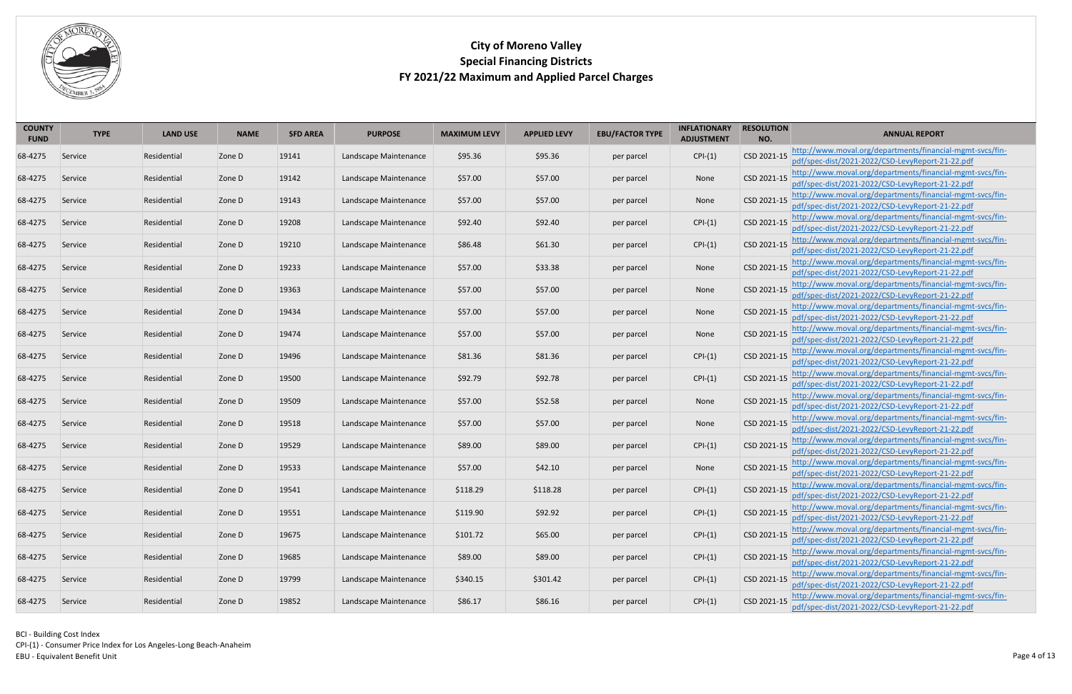

| <b>COUNTY</b><br><b>FUND</b> | <b>TYPE</b> | <b>LAND USE</b> | <b>NAME</b> | <b>SFD AREA</b> | <b>PURPOSE</b>        | <b>MAXIMUM LEVY</b> | <b>APPLIED LEVY</b> | <b>EBU/FACTOR TYPE</b> | <b>INFLATIONARY</b><br><b>ADJUSTMENT</b> | <b>RESOLUTION</b><br>NO. | <b>ANNUAL REPORT</b>                                                                                                      |
|------------------------------|-------------|-----------------|-------------|-----------------|-----------------------|---------------------|---------------------|------------------------|------------------------------------------|--------------------------|---------------------------------------------------------------------------------------------------------------------------|
| 68-4275                      | Service     | Residential     | Zone D      | 19141           | Landscape Maintenance | \$95.36             | \$95.36             | per parcel             | $CPI-(1)$                                | CSD 2021-15              | http://www.moval.org/departments/financial-mgmt-svcs/fin-<br>pdf/spec-dist/2021-2022/CSD-LevyReport-21-22.pdf             |
| 68-4275                      | Service     | Residential     | Zone D      | 19142           | Landscape Maintenance | \$57.00             | \$57.00             | per parcel             | None                                     | CSD 2021-15              | http://www.moval.org/departments/financial-mgmt-svcs/fin-                                                                 |
|                              |             |                 |             |                 |                       |                     |                     |                        |                                          |                          | pdf/spec-dist/2021-2022/CSD-LevyReport-21-22.pdf                                                                          |
| 68-4275                      | Service     | Residential     | Zone D      | 19143           | Landscape Maintenance | \$57.00             | \$57.00             | per parcel             | None                                     | CSD 2021-15              | http://www.moval.org/departments/financial-mgmt-svcs/fin-<br>pdf/spec-dist/2021-2022/CSD-LevyReport-21-22.pdf             |
| 68-4275                      | Service     | Residential     | Zone D      | 19208           | Landscape Maintenance | \$92.40             | \$92.40             | per parcel             | $CPI-(1)$                                | CSD 2021-15              | http://www.moval.org/departments/financial-mgmt-svcs/fin-<br>pdf/spec-dist/2021-2022/CSD-LevyReport-21-22.pdf             |
| 68-4275                      | Service     | Residential     | Zone D      | 19210           | Landscape Maintenance | \$86.48             | \$61.30             | per parcel             | $CPI-(1)$                                | CSD 2021-15              | http://www.moval.org/departments/financial-mgmt-svcs/fin-<br>pdf/spec-dist/2021-2022/CSD-LevyReport-21-22.pdf             |
| 68-4275                      | Service     | Residential     | Zone D      | 19233           | Landscape Maintenance | \$57.00             | \$33.38             | per parcel             | None                                     | CSD 2021-15              | http://www.moval.org/departments/financial-mgmt-svcs/fin-<br>pdf/spec-dist/2021-2022/CSD-LevyReport-21-22.pdf             |
| 68-4275                      | Service     | Residential     | Zone D      | 19363           | Landscape Maintenance | \$57.00             | \$57.00             | per parcel             | None                                     | CSD 2021-15              | http://www.moval.org/departments/financial-mgmt-svcs/fin-                                                                 |
|                              |             |                 |             |                 |                       |                     |                     |                        |                                          |                          | pdf/spec-dist/2021-2022/CSD-LevyReport-21-22.pdf                                                                          |
| 68-4275                      | Service     | Residential     | Zone D      | 19434           | Landscape Maintenance | \$57.00             | \$57.00             | per parcel             | None                                     | CSD 2021-15              | http://www.moval.org/departments/financial-mgmt-svcs/fin-<br>pdf/spec-dist/2021-2022/CSD-LevyReport-21-22.pdf             |
|                              |             |                 |             |                 |                       |                     |                     |                        |                                          |                          | http://www.moval.org/departments/financial-mgmt-svcs/fin-                                                                 |
| 68-4275                      | Service     | Residential     | Zone D      | 19474           | Landscape Maintenance | \$57.00             | \$57.00             | per parcel             | None                                     | CSD 2021-15              | pdf/spec-dist/2021-2022/CSD-LevyReport-21-22.pdf                                                                          |
| 68-4275                      | Service     | Residential     | Zone D      | 19496           | Landscape Maintenance | \$81.36             | \$81.36             | per parcel             | $CPI-(1)$                                | CSD 2021-15              | http://www.moval.org/departments/financial-mgmt-svcs/fin-<br>pdf/spec-dist/2021-2022/CSD-LevyReport-21-22.pdf             |
| 68-4275                      | Service     | Residential     | Zone D      | 19500           | Landscape Maintenance | \$92.79             | \$92.78             | per parcel             | $CPI-(1)$                                | CSD 2021-15              | http://www.moval.org/departments/financial-mgmt-svcs/fin-<br>pdf/spec-dist/2021-2022/CSD-LevyReport-21-22.pdf             |
| 68-4275                      | Service     | Residential     | Zone D      | 19509           | Landscape Maintenance | \$57.00             | \$52.58             | per parcel             | None                                     | CSD 2021-15              | http://www.moval.org/departments/financial-mgmt-svcs/fin-<br>pdf/spec-dist/2021-2022/CSD-LevyReport-21-22.pdf             |
|                              |             |                 |             |                 |                       |                     |                     |                        |                                          |                          | http://www.moval.org/departments/financial-mgmt-svcs/fin-                                                                 |
| 68-4275                      | Service     | Residential     | Zone D      | 19518           | Landscape Maintenance | \$57.00             | \$57.00             | per parcel             | None                                     | CSD 2021-15              | pdf/spec-dist/2021-2022/CSD-LevyReport-21-22.pdf                                                                          |
| 68-4275                      | Service     | Residential     | Zone D      | 19529           | Landscape Maintenance | \$89.00             | \$89.00             | per parcel             | $CPI-(1)$                                | CSD 2021-15              | http://www.moval.org/departments/financial-mgmt-svcs/fin-<br>pdf/spec-dist/2021-2022/CSD-LevyReport-21-22.pdf             |
|                              |             |                 |             |                 |                       |                     |                     |                        |                                          |                          | CSD 2021-15 http://www.moval.org/departments/financial-mgmt-svcs/fin-                                                     |
| 68-4275                      | Service     | Residential     | Zone D      | 19533           | Landscape Maintenance | \$57.00             | \$42.10             | per parcel             | None                                     |                          | pdf/spec-dist/2021-2022/CSD-LevyReport-21-22.pdf                                                                          |
| 68-4275                      | Service     | Residential     | Zone D      | 19541           | Landscape Maintenance | \$118.29            | \$118.28            | per parcel             | $CPI-(1)$                                | CSD 2021-15              | http://www.moval.org/departments/financial-mgmt-svcs/fin-<br>pdf/spec-dist/2021-2022/CSD-LevyReport-21-22.pdf             |
| 68-4275                      | Service     | Residential     | Zone D      | 19551           | Landscape Maintenance | \$119.90            | \$92.92             | per parcel             | $CPI-(1)$                                | CSD 2021-15              | http://www.moval.org/departments/financial-mgmt-svcs/fin-<br>pdf/spec-dist/2021-2022/CSD-LevyReport-21-22.pdf             |
| 68-4275                      | Service     | Residential     | Zone D      | 19675           | Landscape Maintenance | \$101.72            | \$65.00             | per parcel             | $CPI-(1)$                                | CSD 2021-15              | http://www.moval.org/departments/financial-mgmt-svcs/fin-                                                                 |
|                              |             |                 |             |                 |                       |                     |                     |                        |                                          |                          | pdf/spec-dist/2021-2022/CSD-LevyReport-21-22.pdf                                                                          |
| 68-4275                      | Service     | Residential     | Zone D      | 19685           | Landscape Maintenance | \$89.00             | \$89.00             | per parcel             | $CPI-(1)$                                | CSD 2021-15              | http://www.moval.org/departments/financial-mgmt-svcs/fin-                                                                 |
|                              |             |                 |             |                 |                       |                     |                     |                        |                                          |                          | pdf/spec-dist/2021-2022/CSD-LevyReport-21-22.pdf<br>http://www.moval.org/departments/financial-mgmt-svcs/fin-             |
| 68-4275                      | Service     | Residential     | Zone D      | 19799           | Landscape Maintenance | \$340.15            | \$301.42            | per parcel             | $CPI-(1)$                                | CSD 2021-15              | pdf/spec-dist/2021-2022/CSD-LevyReport-21-22.pdf                                                                          |
| 68-4275                      | Service     | Residential     | Zone D      | 19852           | Landscape Maintenance | \$86.17             | \$86.16             | per parcel             | $CPI-(1)$                                |                          | CSD 2021-15 http://www.moval.org/departments/financial-mgmt-svcs/fin-<br>pdf/spec-dist/2021-2022/CSD-LevyReport-21-22.pdf |

BCI - Building Cost Index CPI-(1) - Consumer Price Index for Los Angeles-Long Beach-Anaheim Page 4 of 13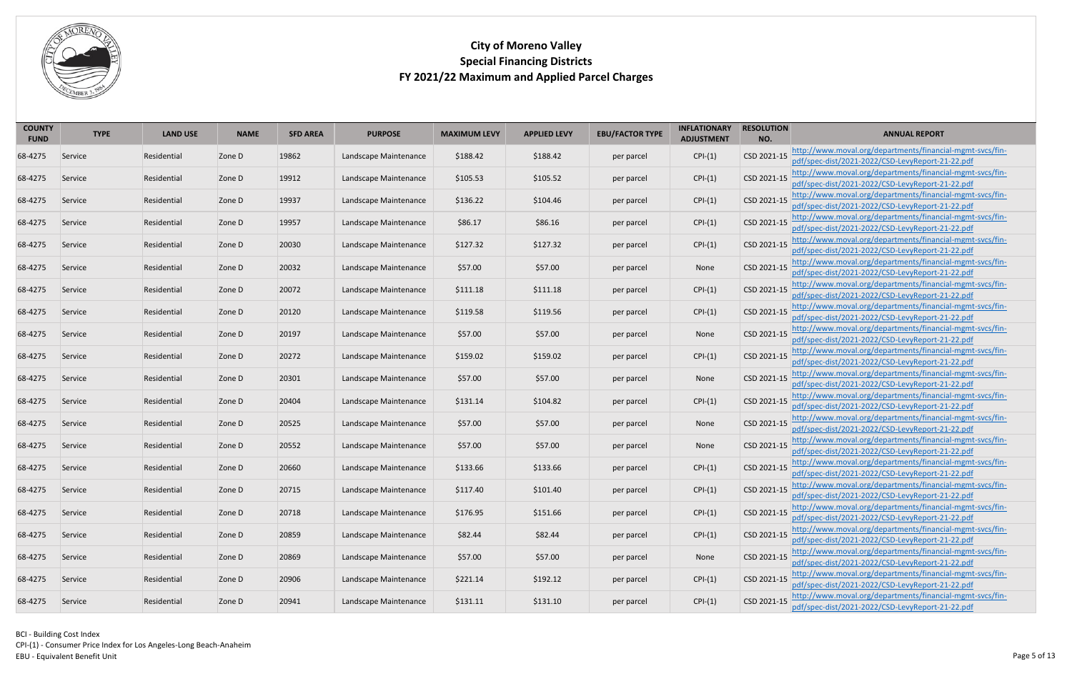

| <b>COUNTY</b><br><b>FUND</b> | <b>TYPE</b> | <b>LAND USE</b> | <b>NAME</b> | <b>SFD AREA</b> | <b>PURPOSE</b>        | <b>MAXIMUM LEVY</b> | <b>APPLIED LEVY</b> | <b>EBU/FACTOR TYPE</b> | <b>INFLATIONARY</b><br><b>ADJUSTMENT</b> | <b>RESOLUTION</b><br>NO. | <b>ANNUAL REPORT</b>                                                                                                      |
|------------------------------|-------------|-----------------|-------------|-----------------|-----------------------|---------------------|---------------------|------------------------|------------------------------------------|--------------------------|---------------------------------------------------------------------------------------------------------------------------|
| 68-4275                      | Service     | Residential     | Zone D      | 19862           | Landscape Maintenance | \$188.42            | \$188.42            | per parcel             | $CPI-(1)$                                | CSD 2021-15              | http://www.moval.org/departments/financial-mgmt-svcs/fin-<br>pdf/spec-dist/2021-2022/CSD-LevyReport-21-22.pdf             |
| 68-4275                      | Service     | Residential     | Zone D      | 19912           | Landscape Maintenance | \$105.53            | \$105.52            | per parcel             | $CPI-(1)$                                | CSD 2021-15              | http://www.moval.org/departments/financial-mgmt-svcs/fin-<br>pdf/spec-dist/2021-2022/CSD-LevyReport-21-22.pdf             |
| 68-4275                      | Service     | Residential     | Zone D      | 19937           | Landscape Maintenance | \$136.22            | \$104.46            | per parcel             | $CPI-(1)$                                | CSD 2021-15              | http://www.moval.org/departments/financial-mgmt-svcs/fin-<br>pdf/spec-dist/2021-2022/CSD-LevyReport-21-22.pdf             |
| 68-4275                      | Service     | Residential     | Zone D      | 19957           | Landscape Maintenance | \$86.17             | \$86.16             | per parcel             | $CPI-(1)$                                | CSD 2021-15              | http://www.moval.org/departments/financial-mgmt-svcs/fin-<br>pdf/spec-dist/2021-2022/CSD-LevyReport-21-22.pdf             |
| 68-4275                      | Service     | Residential     | Zone D      | 20030           | Landscape Maintenance | \$127.32            | \$127.32            | per parcel             | $CPI-(1)$                                | CSD 2021-15              | http://www.moval.org/departments/financial-mgmt-svcs/fin-<br>pdf/spec-dist/2021-2022/CSD-LevyReport-21-22.pdf             |
| 68-4275                      | Service     | Residential     | Zone D      | 20032           | Landscape Maintenance | \$57.00             | \$57.00             | per parcel             | None                                     | CSD 2021-15              | http://www.moval.org/departments/financial-mgmt-svcs/fin-<br>pdf/spec-dist/2021-2022/CSD-LevyReport-21-22.pdf             |
| 68-4275                      | Service     | Residential     | Zone D      | 20072           | Landscape Maintenance | \$111.18            | \$111.18            | per parcel             | $CPI-(1)$                                | CSD 2021-15              | http://www.moval.org/departments/financial-mgmt-svcs/fin-<br>pdf/spec-dist/2021-2022/CSD-LevyReport-21-22.pdf             |
| 68-4275                      | Service     | Residential     | Zone D      | 20120           | Landscape Maintenance | \$119.58            | \$119.56            | per parcel             | $CPI-(1)$                                | CSD 2021-15              | http://www.moval.org/departments/financial-mgmt-svcs/fin-<br>pdf/spec-dist/2021-2022/CSD-LevyReport-21-22.pdf             |
| 68-4275                      | Service     | Residential     | Zone D      | 20197           | Landscape Maintenance | \$57.00             | \$57.00             | per parcel             | None                                     | CSD 2021-15              | http://www.moval.org/departments/financial-mgmt-svcs/fin-<br>pdf/spec-dist/2021-2022/CSD-LevyReport-21-22.pdf             |
| 68-4275                      | Service     | Residential     | Zone D      | 20272           | Landscape Maintenance | \$159.02            | \$159.02            | per parcel             | $CPI-(1)$                                | CSD 2021-15              | http://www.moval.org/departments/financial-mgmt-svcs/fin-<br>pdf/spec-dist/2021-2022/CSD-LevyReport-21-22.pdf             |
| 68-4275                      | Service     | Residential     | Zone D      | 20301           | Landscape Maintenance | \$57.00             | \$57.00             | per parcel             | None                                     | CSD 2021-15              | http://www.moval.org/departments/financial-mgmt-svcs/fin-<br>pdf/spec-dist/2021-2022/CSD-LevyReport-21-22.pdf             |
| 68-4275                      | Service     | Residential     | Zone D      | 20404           | Landscape Maintenance | \$131.14            | \$104.82            | per parcel             | $CPI-(1)$                                | CSD 2021-15              | http://www.moval.org/departments/financial-mgmt-svcs/fin-<br>pdf/spec-dist/2021-2022/CSD-LevyReport-21-22.pdf             |
| 68-4275                      | Service     | Residential     | Zone D      | 20525           | Landscape Maintenance | \$57.00             | \$57.00             | per parcel             | None                                     | CSD 2021-15              | http://www.moval.org/departments/financial-mgmt-svcs/fin-<br>pdf/spec-dist/2021-2022/CSD-LevyReport-21-22.pdf             |
| 68-4275                      | Service     | Residential     | Zone D      | 20552           | Landscape Maintenance | \$57.00             | \$57.00             | per parcel             | None                                     | CSD 2021-15              | http://www.moval.org/departments/financial-mgmt-svcs/fin-<br>pdf/spec-dist/2021-2022/CSD-LevyReport-21-22.pdf             |
| 68-4275                      | Service     | Residential     | Zone D      | 20660           | Landscape Maintenance | \$133.66            | \$133.66            | per parcel             | $CPI-(1)$                                |                          | CSD 2021-15 http://www.moval.org/departments/financial-mgmt-svcs/fin-<br>pdf/spec-dist/2021-2022/CSD-LevyReport-21-22.pdf |
| 68-4275                      | Service     | Residential     | Zone D      | 20715           | Landscape Maintenance | \$117.40            | \$101.40            | per parcel             | $CPI-(1)$                                | CSD 2021-15              | http://www.moval.org/departments/financial-mgmt-svcs/fin-<br>pdf/spec-dist/2021-2022/CSD-LevyReport-21-22.pdf             |
| 68-4275                      | Service     | Residential     | Zone D      | 20718           | Landscape Maintenance | \$176.95            | \$151.66            | per parcel             | $CPI-(1)$                                | CSD 2021-15              | http://www.moval.org/departments/financial-mgmt-svcs/fin-<br>pdf/spec-dist/2021-2022/CSD-LevyReport-21-22.pdf             |
| 68-4275                      | Service     | Residential     | Zone D      | 20859           | Landscape Maintenance | \$82.44             | \$82.44             | per parcel             | $CPI-(1)$                                | CSD 2021-15              | http://www.moval.org/departments/financial-mgmt-svcs/fin-<br>pdf/spec-dist/2021-2022/CSD-LevyReport-21-22.pdf             |
| 68-4275                      | Service     | Residential     | Zone D      | 20869           | Landscape Maintenance | \$57.00             | \$57.00             | per parcel             | None                                     | CSD 2021-15              | http://www.moval.org/departments/financial-mgmt-svcs/fin-<br>pdf/spec-dist/2021-2022/CSD-LevyReport-21-22.pdf             |
| 68-4275                      | Service     | Residential     | Zone D      | 20906           | Landscape Maintenance | \$221.14            | \$192.12            | per parcel             | $CPI-(1)$                                | CSD 2021-15              | http://www.moval.org/departments/financial-mgmt-svcs/fin-<br>pdf/spec-dist/2021-2022/CSD-LevyReport-21-22.pdf             |
| 68-4275                      | Service     | Residential     | Zone D      | 20941           | Landscape Maintenance | \$131.11            | \$131.10            | per parcel             | $CPI-(1)$                                | CSD 2021-15              | http://www.moval.org/departments/financial-mgmt-svcs/fin-<br>pdf/spec-dist/2021-2022/CSD-LevyReport-21-22.pdf             |

BCI - Building Cost Index CPI-(1) - Consumer Price Index for Los Angeles-Long Beach-Anaheim Page 5 of 13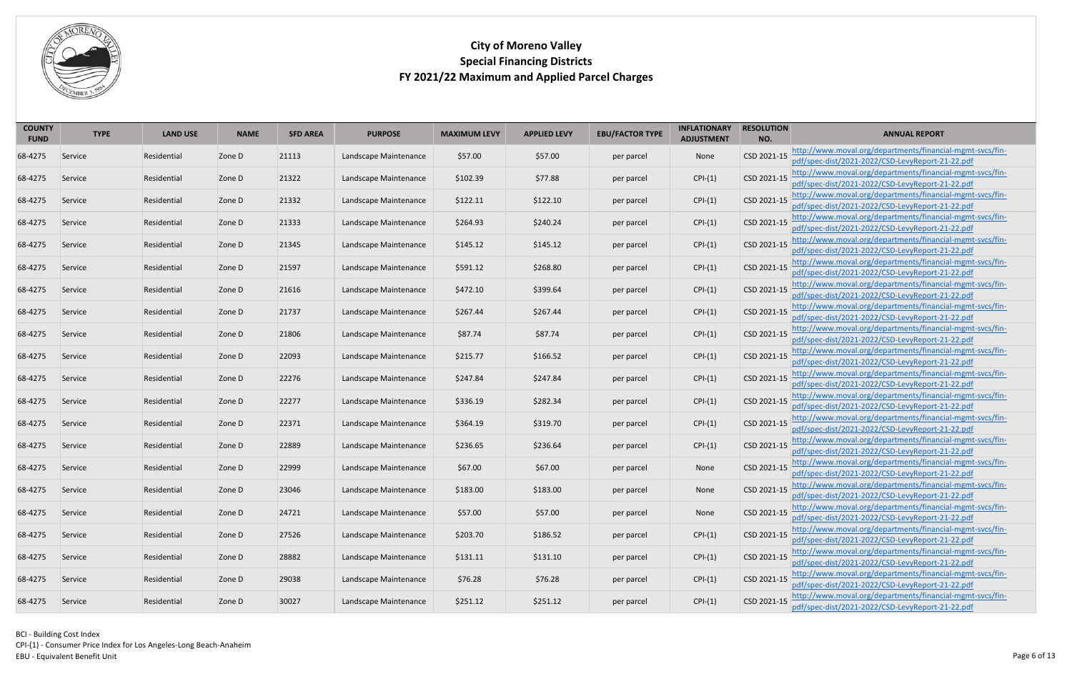

| <b>COUNTY</b><br><b>FUND</b> | <b>TYPE</b> | <b>LAND USE</b> | <b>NAME</b> | <b>SFD AREA</b> | <b>PURPOSE</b>        | <b>MAXIMUM LEVY</b> | <b>APPLIED LEVY</b> | <b>EBU/FACTOR TYPE</b> | <b>INFLATIONARY</b><br><b>ADJUSTMENT</b> | <b>RESOLUTION</b><br>NO. | <b>ANNUAL REPORT</b>                                                                                                      |
|------------------------------|-------------|-----------------|-------------|-----------------|-----------------------|---------------------|---------------------|------------------------|------------------------------------------|--------------------------|---------------------------------------------------------------------------------------------------------------------------|
| 68-4275                      | Service     | Residential     | Zone D      | 21113           | Landscape Maintenance | \$57.00             | \$57.00             | per parcel             | None                                     | CSD 2021-15              | http://www.moval.org/departments/financial-mgmt-svcs/fin-<br>pdf/spec-dist/2021-2022/CSD-LevyReport-21-22.pdf             |
| 68-4275                      | Service     | Residential     | Zone D      | 21322           | Landscape Maintenance | \$102.39            | \$77.88             | per parcel             | $CPI-(1)$                                | CSD 2021-15              | http://www.moval.org/departments/financial-mgmt-svcs/fin-<br>pdf/spec-dist/2021-2022/CSD-LevyReport-21-22.pdf             |
| 68-4275                      | Service     | Residential     | Zone D      | 21332           | Landscape Maintenance | \$122.11            | \$122.10            | per parcel             | $CPI-(1)$                                | CSD 2021-15              | http://www.moval.org/departments/financial-mgmt-svcs/fin-<br>pdf/spec-dist/2021-2022/CSD-LevyReport-21-22.pdf             |
| 68-4275                      | Service     | Residential     | Zone D      | 21333           | Landscape Maintenance | \$264.93            | \$240.24            | per parcel             | $CPI-(1)$                                | CSD 2021-15              | http://www.moval.org/departments/financial-mgmt-svcs/fin-<br>pdf/spec-dist/2021-2022/CSD-LevyReport-21-22.pdf             |
| 68-4275                      | Service     | Residential     | Zone D      | 21345           | Landscape Maintenance | \$145.12            | \$145.12            | per parcel             | $CPI-(1)$                                | CSD 2021-15              | http://www.moval.org/departments/financial-mgmt-svcs/fin-<br>pdf/spec-dist/2021-2022/CSD-LevyReport-21-22.pdf             |
| 68-4275                      | Service     | Residential     | Zone D      | 21597           | Landscape Maintenance | \$591.12            | \$268.80            | per parcel             | $CPI-(1)$                                | CSD 2021-15              | http://www.moval.org/departments/financial-mgmt-svcs/fin-<br>pdf/spec-dist/2021-2022/CSD-LevyReport-21-22.pdf             |
| 68-4275                      | Service     | Residential     | Zone D      | 21616           | Landscape Maintenance | \$472.10            | \$399.64            | per parcel             | $CPI-(1)$                                | CSD 2021-15              | http://www.moval.org/departments/financial-mgmt-svcs/fin-<br>pdf/spec-dist/2021-2022/CSD-LevyReport-21-22.pdf             |
| 68-4275                      | Service     | Residential     | Zone D      | 21737           | Landscape Maintenance | \$267.44            | \$267.44            | per parcel             | $CPI-(1)$                                | CSD 2021-15              | http://www.moval.org/departments/financial-mgmt-svcs/fin-<br>pdf/spec-dist/2021-2022/CSD-LevyReport-21-22.pdf             |
| 68-4275                      | Service     | Residential     | Zone D      | 21806           | Landscape Maintenance | \$87.74             | \$87.74             | per parcel             | $CPI-(1)$                                | CSD 2021-15              | http://www.moval.org/departments/financial-mgmt-svcs/fin-<br>pdf/spec-dist/2021-2022/CSD-LevyReport-21-22.pdf             |
| 68-4275                      | Service     | Residential     | Zone D      | 22093           | Landscape Maintenance | \$215.77            | \$166.52            | per parcel             | $CPI-(1)$                                | CSD 2021-15              | http://www.moval.org/departments/financial-mgmt-svcs/fin-<br>pdf/spec-dist/2021-2022/CSD-LevyReport-21-22.pdf             |
| 68-4275                      | Service     | Residential     | Zone D      | 22276           | Landscape Maintenance | \$247.84            | \$247.84            | per parcel             | $CPI-(1)$                                | CSD 2021-15              | http://www.moval.org/departments/financial-mgmt-svcs/fin-<br>pdf/spec-dist/2021-2022/CSD-LevyReport-21-22.pdf             |
| 68-4275                      | Service     | Residential     | Zone D      | 22277           | Landscape Maintenance | \$336.19            | \$282.34            | per parcel             | $CPI-(1)$                                | CSD 2021-15              | http://www.moval.org/departments/financial-mgmt-svcs/fin-<br>pdf/spec-dist/2021-2022/CSD-LevyReport-21-22.pdf             |
| 68-4275                      | Service     | Residential     | Zone D      | 22371           | Landscape Maintenance | \$364.19            | \$319.70            | per parcel             | $CPI-(1)$                                | CSD 2021-15              | http://www.moval.org/departments/financial-mgmt-svcs/fin-<br>pdf/spec-dist/2021-2022/CSD-LevyReport-21-22.pdf             |
| 68-4275                      | Service     | Residential     | Zone D      | 22889           | Landscape Maintenance | \$236.65            | \$236.64            | per parcel             | $CPI-(1)$                                | CSD 2021-15              | http://www.moval.org/departments/financial-mgmt-svcs/fin-<br>pdf/spec-dist/2021-2022/CSD-LevyReport-21-22.pdf             |
| 68-4275                      | Service     | Residential     | Zone D      | 22999           | Landscape Maintenance | \$67.00             | \$67.00             | per parcel             | None                                     |                          | CSD 2021-15 http://www.moval.org/departments/financial-mgmt-svcs/fin-<br>pdf/spec-dist/2021-2022/CSD-LevyReport-21-22.pdf |
| 68-4275                      | Service     | Residential     | Zone D      | 23046           | Landscape Maintenance | \$183.00            | \$183.00            | per parcel             | None                                     | CSD 2021-15              | http://www.moval.org/departments/financial-mgmt-svcs/fin-<br>pdf/spec-dist/2021-2022/CSD-LevyReport-21-22.pdf             |
| 68-4275                      | Service     | Residential     | Zone D      | 24721           | Landscape Maintenance | \$57.00             | \$57.00             | per parcel             | None                                     | CSD 2021-15              | http://www.moval.org/departments/financial-mgmt-svcs/fin-<br>pdf/spec-dist/2021-2022/CSD-LevyReport-21-22.pdf             |
| 68-4275                      | Service     | Residential     | Zone D      | 27526           | Landscape Maintenance | \$203.70            | \$186.52            | per parcel             | $CPI-(1)$                                | CSD 2021-15              | http://www.moval.org/departments/financial-mgmt-svcs/fin-<br>pdf/spec-dist/2021-2022/CSD-LevyReport-21-22.pdf             |
| 68-4275                      | Service     | Residential     | Zone D      | 28882           | Landscape Maintenance | \$131.11            | \$131.10            | per parcel             | $CPI-(1)$                                | CSD 2021-15              | http://www.moval.org/departments/financial-mgmt-svcs/fin-<br>pdf/spec-dist/2021-2022/CSD-LevyReport-21-22.pdf             |
| 68-4275                      | Service     | Residential     | Zone D      | 29038           | Landscape Maintenance | \$76.28             | \$76.28             | per parcel             | $CPI-(1)$                                | CSD 2021-15              | http://www.moval.org/departments/financial-mgmt-svcs/fin-<br>pdf/spec-dist/2021-2022/CSD-LevyReport-21-22.pdf             |
| 68-4275                      | Service     | Residential     | Zone D      | 30027           | Landscape Maintenance | \$251.12            | \$251.12            | per parcel             | $CPI-(1)$                                | CSD 2021-15              | http://www.moval.org/departments/financial-mgmt-svcs/fin-<br>pdf/spec-dist/2021-2022/CSD-LevyReport-21-22.pdf             |

BCI - Building Cost Index CPI-(1) - Consumer Price Index for Los Angeles-Long Beach-Anaheim Page 6 of 13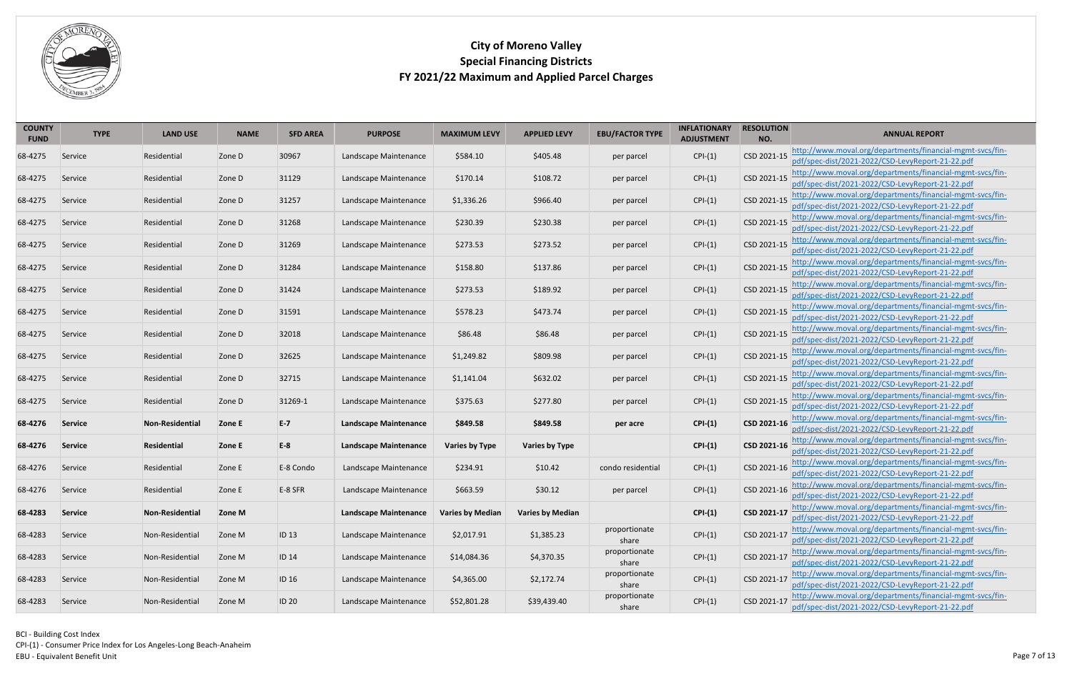

| <b>COUNTY</b><br><b>FUND</b> | <b>TYPE</b>    | <b>LAND USE</b>        | <b>NAME</b> | <b>SFD AREA</b> | <b>PURPOSE</b>               | <b>MAXIMUM LEVY</b>     | <b>APPLIED LEVY</b>     | <b>EBU/FACTOR TYPE</b> | <b>INFLATIONARY</b><br><b>ADJUSTMENT</b> | <b>RESOLUTION</b><br>NO. | <b>ANNUAL REPORT</b>                                                                                                      |
|------------------------------|----------------|------------------------|-------------|-----------------|------------------------------|-------------------------|-------------------------|------------------------|------------------------------------------|--------------------------|---------------------------------------------------------------------------------------------------------------------------|
|                              |                |                        |             |                 |                              |                         |                         |                        |                                          |                          | http://www.moval.org/departments/financial-mgmt-svcs/fin-                                                                 |
| 68-4275                      | Service        | Residential            | Zone D      | 30967           | Landscape Maintenance        | \$584.10                | \$405.48                | per parcel             | $CPI-(1)$                                | CSD 2021-15              | pdf/spec-dist/2021-2022/CSD-LevyReport-21-22.pdf                                                                          |
|                              |                |                        |             |                 |                              |                         |                         |                        |                                          |                          | http://www.moval.org/departments/financial-mgmt-svcs/fin-                                                                 |
| 68-4275                      | Service        | Residential            | Zone D      | 31129           | Landscape Maintenance        | \$170.14                | \$108.72                | per parcel             | $CPI-(1)$                                | CSD 2021-15              | pdf/spec-dist/2021-2022/CSD-LevyReport-21-22.pdf                                                                          |
| 68-4275                      | Service        | Residential            | Zone D      | 31257           | Landscape Maintenance        | \$1,336.26              | \$966.40                | per parcel             | $CPI-(1)$                                | CSD 2021-15              | http://www.moval.org/departments/financial-mgmt-svcs/fin-<br>pdf/spec-dist/2021-2022/CSD-LevyReport-21-22.pdf             |
| 68-4275                      | Service        | Residential            | Zone D      | 31268           | Landscape Maintenance        | \$230.39                | \$230.38                | per parcel             | $CPI-(1)$                                | CSD 2021-15              | http://www.moval.org/departments/financial-mgmt-svcs/fin-<br>pdf/spec-dist/2021-2022/CSD-LevyReport-21-22.pdf             |
| 68-4275                      | Service        | Residential            | Zone D      | 31269           | Landscape Maintenance        | \$273.53                | \$273.52                | per parcel             | $CPI-(1)$                                | CSD 2021-15              | http://www.moval.org/departments/financial-mgmt-svcs/fin-<br>pdf/spec-dist/2021-2022/CSD-LevyReport-21-22.pdf             |
| 68-4275                      | Service        | Residential            | Zone D      | 31284           | Landscape Maintenance        | \$158.80                | \$137.86                | per parcel             | $CPI-(1)$                                | CSD 2021-15              | http://www.moval.org/departments/financial-mgmt-svcs/fin-<br>pdf/spec-dist/2021-2022/CSD-LevyReport-21-22.pdf             |
| 68-4275                      | Service        | Residential            | Zone D      | 31424           | Landscape Maintenance        | \$273.53                | \$189.92                | per parcel             | $CPI-(1)$                                | CSD 2021-15              | http://www.moval.org/departments/financial-mgmt-svcs/fin-<br>pdf/spec-dist/2021-2022/CSD-LevyReport-21-22.pdf             |
|                              |                |                        |             |                 |                              |                         |                         |                        |                                          |                          | http://www.moval.org/departments/financial-mgmt-svcs/fin-                                                                 |
| 68-4275                      | Service        | Residential            | Zone D      | 31591           | Landscape Maintenance        | \$578.23                | \$473.74                | per parcel             | $CPI-(1)$                                | CSD 2021-15              | pdf/spec-dist/2021-2022/CSD-LevyReport-21-22.pdf                                                                          |
| 68-4275                      | Service        | Residential            | Zone D      | 32018           | Landscape Maintenance        | \$86.48                 | \$86.48                 | per parcel             | $CPI-(1)$                                | CSD 2021-15              | http://www.moval.org/departments/financial-mgmt-svcs/fin-<br>pdf/spec-dist/2021-2022/CSD-LevyReport-21-22.pdf             |
| 68-4275                      | Service        | Residential            | Zone D      | 32625           | Landscape Maintenance        | \$1,249.82              | \$809.98                | per parcel             | $CPI-(1)$                                | CSD 2021-15              | http://www.moval.org/departments/financial-mgmt-svcs/fin-<br>pdf/spec-dist/2021-2022/CSD-LevyReport-21-22.pdf             |
| 68-4275                      | Service        | Residential            | Zone D      | 32715           | Landscape Maintenance        | \$1,141.04              | \$632.02                | per parcel             | $CPI-(1)$                                | CSD 2021-15              | http://www.moval.org/departments/financial-mgmt-svcs/fin-<br>pdf/spec-dist/2021-2022/CSD-LevyReport-21-22.pdf             |
| 68-4275                      | Service        | Residential            | Zone D      | 31269-1         | Landscape Maintenance        | \$375.63                | \$277.80                | per parcel             | $CPI-(1)$                                | CSD 2021-15              | http://www.moval.org/departments/financial-mgmt-svcs/fin-<br>pdf/spec-dist/2021-2022/CSD-LevyReport-21-22.pdf             |
|                              |                |                        |             |                 |                              |                         |                         |                        |                                          |                          | http://www.moval.org/departments/financial-mgmt-svcs/fin-                                                                 |
| 68-4276                      | <b>Service</b> | <b>Non-Residential</b> | Zone E      | $E-7$           | <b>Landscape Maintenance</b> | \$849.58                | \$849.58                | per acre               | $CPI-(1)$                                | CSD 2021-16              | pdf/spec-dist/2021-2022/CSD-LevyReport-21-22.pdf                                                                          |
|                              |                |                        |             |                 |                              |                         |                         |                        |                                          |                          | http://www.moval.org/departments/financial-mgmt-svcs/fin-                                                                 |
| 68-4276                      | <b>Service</b> | <b>Residential</b>     | Zone E      | $E-8$           | <b>Landscape Maintenance</b> | <b>Varies by Type</b>   | <b>Varies by Type</b>   |                        | $CPI-(1)$                                | CSD 2021-16              | pdf/spec-dist/2021-2022/CSD-LevyReport-21-22.pdf                                                                          |
| 68-4276                      | Service        | Residential            | Zone E      | E-8 Condo       | Landscape Maintenance        | \$234.91                | \$10.42                 | condo residential      | $CPI-(1)$                                |                          | CSD 2021-16 http://www.moval.org/departments/financial-mgmt-svcs/fin-<br>pdf/spec-dist/2021-2022/CSD-LevyReport-21-22.pdf |
| 68-4276                      | Service        | Residential            | Zone E      | E-8 SFR         | Landscape Maintenance        | \$663.59                | \$30.12                 | per parcel             | $CPI-(1)$                                | CSD 2021-16              | http://www.moval.org/departments/financial-mgmt-svcs/fin-<br>pdf/spec-dist/2021-2022/CSD-LevyReport-21-22.pdf             |
| 68-4283                      | Service        | Non-Residential        | Zone M      |                 | <b>Landscape Maintenance</b> | <b>Varies by Median</b> | <b>Varies by Median</b> |                        | $CPI-(1)$                                | CSD 2021-17              | http://www.moval.org/departments/financial-mgmt-svcs/fin-<br>pdf/spec-dist/2021-2022/CSD-LevyReport-21-22.pdf             |
| 68-4283                      | Service        | Non-Residential        | Zone M      | ID 13           | Landscape Maintenance        | \$2,017.91              | \$1,385.23              | proportionate<br>share | $CPI-(1)$                                | CSD 2021-17              | http://www.moval.org/departments/financial-mgmt-svcs/fin-<br>pdf/spec-dist/2021-2022/CSD-LevyReport-21-22.pdf             |
| 68-4283                      | Service        | Non-Residential        | Zone M      | ID 14           | Landscape Maintenance        | \$14,084.36             | \$4,370.35              | proportionate<br>share | $CPI-(1)$                                | CSD 2021-17              | http://www.moval.org/departments/financial-mgmt-svcs/fin-<br>pdf/spec-dist/2021-2022/CSD-LevyReport-21-22.pdf             |
| 68-4283                      | Service        | Non-Residential        | Zone M      | ID 16           | Landscape Maintenance        | \$4,365.00              | \$2,172.74              | proportionate<br>share | $CPI-(1)$                                | CSD 2021-17              | http://www.moval.org/departments/financial-mgmt-svcs/fin-<br>pdf/spec-dist/2021-2022/CSD-LevyReport-21-22.pdf             |
| 68-4283                      | Service        | Non-Residential        | Zone M      | <b>ID 20</b>    | Landscape Maintenance        | \$52,801.28             | \$39,439.40             | proportionate<br>share | $CPI-(1)$                                | CSD 2021-17              | http://www.moval.org/departments/financial-mgmt-svcs/fin-<br>pdf/spec-dist/2021-2022/CSD-LevyReport-21-22.pdf             |
|                              |                |                        |             |                 |                              |                         |                         |                        |                                          |                          |                                                                                                                           |

<span id="page-6-2"></span><span id="page-6-1"></span><span id="page-6-0"></span>BCI - Building Cost Index CPI-(1) - Consumer Price Index for Los Angeles-Long Beach-Anaheim Page 7 of 13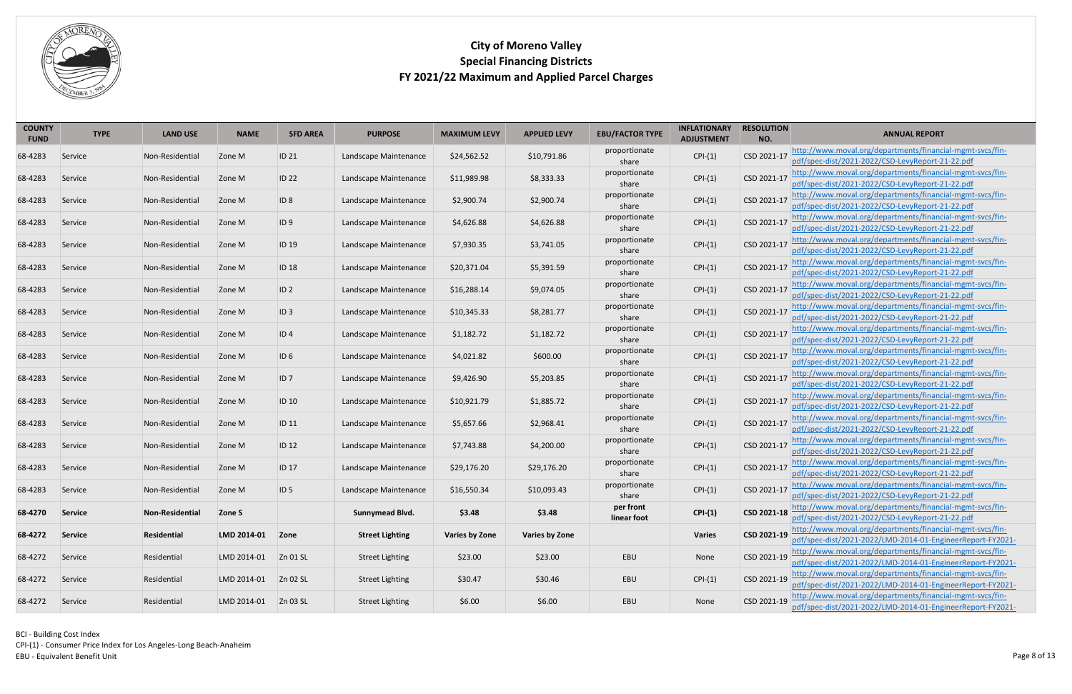

| <b>COUNTY</b><br><b>FUND</b> | <b>TYPE</b> | <b>LAND USE</b> | <b>NAME</b> | <b>SFD AREA</b>     | <b>PURPOSE</b>         | <b>MAXIMUM LEVY</b>   | <b>APPLIED LEVY</b>   | <b>EBU/FACTOR TYPE</b>   | <b>INFLATIONARY</b><br><b>ADJUSTMENT</b> | <b>RESOLUTION</b><br>NO. | <b>ANNUAL REPORT</b>                                                                                                      |
|------------------------------|-------------|-----------------|-------------|---------------------|------------------------|-----------------------|-----------------------|--------------------------|------------------------------------------|--------------------------|---------------------------------------------------------------------------------------------------------------------------|
| 68-4283                      | Service     | Non-Residential | Zone M      | ID 21               | Landscape Maintenance  | \$24,562.52           | \$10,791.86           | proportionate<br>share   | $CPI-(1)$                                | CSD 2021-17              | http://www.moval.org/departments/financial-mgmt-svcs/fin-<br>pdf/spec-dist/2021-2022/CSD-LevyReport-21-22.pdf             |
| 68-4283                      | Service     | Non-Residential | Zone M      | <b>ID 22</b>        | Landscape Maintenance  | \$11,989.98           | \$8,333.33            | proportionate<br>share   | $CPI-(1)$                                | CSD 2021-17              | http://www.moval.org/departments/financial-mgmt-svcs/fin-<br>pdf/spec-dist/2021-2022/CSD-LevyReport-21-22.pdf             |
| 68-4283                      | Service     | Non-Residential | Zone M      | ID 8                | Landscape Maintenance  | \$2,900.74            | \$2,900.74            | proportionate<br>share   | $CPI-(1)$                                | CSD 2021-17              | http://www.moval.org/departments/financial-mgmt-svcs/fin-<br>pdf/spec-dist/2021-2022/CSD-LevyReport-21-22.pdf             |
| 68-4283                      | Service     | Non-Residential | Zone M      | ID 9                | Landscape Maintenance  | \$4,626.88            | \$4,626.88            | proportionate<br>share   | $CPI-(1)$                                | CSD 2021-17              | http://www.moval.org/departments/financial-mgmt-svcs/fin-<br>pdf/spec-dist/2021-2022/CSD-LevyReport-21-22.pdf             |
| 68-4283                      | Service     | Non-Residential | Zone M      | ID 19               | Landscape Maintenance  | \$7,930.35            | \$3,741.05            | proportionate<br>share   | $CPI-(1)$                                | CSD 2021-17              | http://www.moval.org/departments/financial-mgmt-svcs/fin-<br>pdf/spec-dist/2021-2022/CSD-LevyReport-21-22.pdf             |
| 68-4283                      | Service     | Non-Residential | Zone M      | ID 18               | Landscape Maintenance  | \$20,371.04           | \$5,391.59            | proportionate<br>share   | $CPI-(1)$                                | CSD 2021-17              | http://www.moval.org/departments/financial-mgmt-svcs/fin-<br>pdf/spec-dist/2021-2022/CSD-LevyReport-21-22.pdf             |
| 68-4283                      | Service     | Non-Residential | Zone M      | ID 2                | Landscape Maintenance  | \$16,288.14           | \$9,074.05            | proportionate<br>share   | $CPI-(1)$                                | CSD 2021-17              | http://www.moval.org/departments/financial-mgmt-svcs/fin-<br>pdf/spec-dist/2021-2022/CSD-LevyReport-21-22.pdf             |
| 68-4283                      | Service     | Non-Residential | Zone M      | $ ID_3 $            | Landscape Maintenance  | \$10,345.33           | \$8,281.77            | proportionate<br>share   | $CPI-(1)$                                | CSD 2021-17              | http://www.moval.org/departments/financial-mgmt-svcs/fin-<br>pdf/spec-dist/2021-2022/CSD-LevyReport-21-22.pdf             |
| 68-4283                      | Service     | Non-Residential | Zone M      | ID4                 | Landscape Maintenance  | \$1,182.72            | \$1,182.72            | proportionate<br>share   | $CPI-(1)$                                | CSD 2021-17              | http://www.moval.org/departments/financial-mgmt-svcs/fin-<br>pdf/spec-dist/2021-2022/CSD-LevyReport-21-22.pdf             |
| 68-4283                      | Service     | Non-Residential | Zone M      | ID 6                | Landscape Maintenance  | \$4,021.82            | \$600.00              | proportionate<br>share   | $CPI-(1)$                                | CSD 2021-17              | http://www.moval.org/departments/financial-mgmt-svcs/fin-<br>pdf/spec-dist/2021-2022/CSD-LevyReport-21-22.pdf             |
| 68-4283                      | Service     | Non-Residential | Zone M      | 1D 7                | Landscape Maintenance  | \$9,426.90            | \$5,203.85            | proportionate<br>share   | $CPI-(1)$                                | CSD 2021-17              | http://www.moval.org/departments/financial-mgmt-svcs/fin-<br>pdf/spec-dist/2021-2022/CSD-LevyReport-21-22.pdf             |
| 68-4283                      | Service     | Non-Residential | Zone M      | ID 10               | Landscape Maintenance  | \$10,921.79           | \$1,885.72            | proportionate<br>share   | $CPI-(1)$                                | CSD 2021-17              | http://www.moval.org/departments/financial-mgmt-svcs/fin-<br>pdf/spec-dist/2021-2022/CSD-LevyReport-21-22.pdf             |
| 68-4283                      | Service     | Non-Residential | Zone M      | <b>ID 11</b>        | Landscape Maintenance  | \$5,657.66            | \$2,968.41            | proportionate<br>share   | $CPI-(1)$                                | CSD 2021-17              | http://www.moval.org/departments/financial-mgmt-svcs/fin-<br>pdf/spec-dist/2021-2022/CSD-LevyReport-21-22.pdf             |
| 68-4283                      | Service     | Non-Residential | Zone M      | ID 12               | Landscape Maintenance  | \$7,743.88            | \$4,200.00            | proportionate<br>share   | $CPI-(1)$                                | CSD 2021-17              | http://www.moval.org/departments/financial-mgmt-svcs/fin-<br>pdf/spec-dist/2021-2022/CSD-LevyReport-21-22.pdf             |
| 68-4283                      | Service     | Non-Residential | Zone M      | <b>ID 17</b>        | Landscape Maintenance  | \$29,176.20           | \$29,176.20           | proportionate<br>share   | $CPI-(1)$                                |                          | CSD 2021-17 http://www.moval.org/departments/financial-mgmt-svcs/fin-<br>pdf/spec-dist/2021-2022/CSD-LevyReport-21-22.pdf |
| 68-4283                      | Service     | Non-Residential | Zone M      | $\overline{1}$ ID 5 | Landscape Maintenance  | \$16,550.34           | \$10,093.43           | proportionate<br>share   | $CPI-(1)$                                | CSD 2021-17              | http://www.moval.org/departments/financial-mgmt-svcs/fin-<br>pdf/spec-dist/2021-2022/CSD-LevyReport-21-22.pdf             |
| 68-4270                      | Service     | Non-Residential | Zone S      |                     | <b>Sunnymead Blvd.</b> | \$3.48                | \$3.48                | per front<br>linear foot | $CPI-(1)$                                | CSD 2021-18              | http://www.moval.org/departments/financial-mgmt-svcs/fin-<br>pdf/spec-dist/2021-2022/CSD-LevyReport-21-22.pdf             |
| 68-4272                      | Service     | Residential     | LMD 2014-01 | Zone                | <b>Street Lighting</b> | <b>Varies by Zone</b> | <b>Varies by Zone</b> |                          | <b>Varies</b>                            | CSD 2021-19              | http://www.moval.org/departments/financial-mgmt-svcs/fin-<br>pdf/spec-dist/2021-2022/LMD-2014-01-EngineerReport-FY2021-   |
| 68-4272                      | Service     | Residential     | LMD 2014-01 | Zn 01 SL            | <b>Street Lighting</b> | \$23.00               | \$23.00               | EBU                      | None                                     | CSD 2021-19              | http://www.moval.org/departments/financial-mgmt-svcs/fin-<br>pdf/spec-dist/2021-2022/LMD-2014-01-EngineerReport-FY2021-   |
| 68-4272                      | Service     | Residential     | LMD 2014-01 | Zn 02 SL            | <b>Street Lighting</b> | \$30.47               | \$30.46               | EBU                      | $CPI-(1)$                                | CSD 2021-19              | http://www.moval.org/departments/financial-mgmt-svcs/fin-<br>pdf/spec-dist/2021-2022/LMD-2014-01-EngineerReport-FY2021-   |
| 68-4272                      | Service     | Residential     | LMD 2014-01 | $Zn$ 03 SL          | <b>Street Lighting</b> | \$6.00                | \$6.00                | EBU                      | None                                     | CSD 2021-19              | http://www.moval.org/departments/financial-mgmt-svcs/fin-<br>pdf/spec-dist/2021-2022/LMD-2014-01-EngineerReport-FY2021-   |

<span id="page-7-1"></span><span id="page-7-0"></span>BCI - Building Cost Index CPI-(1) - Consumer Price Index for Los Angeles-Long Beach-Anaheim Page 8 of 13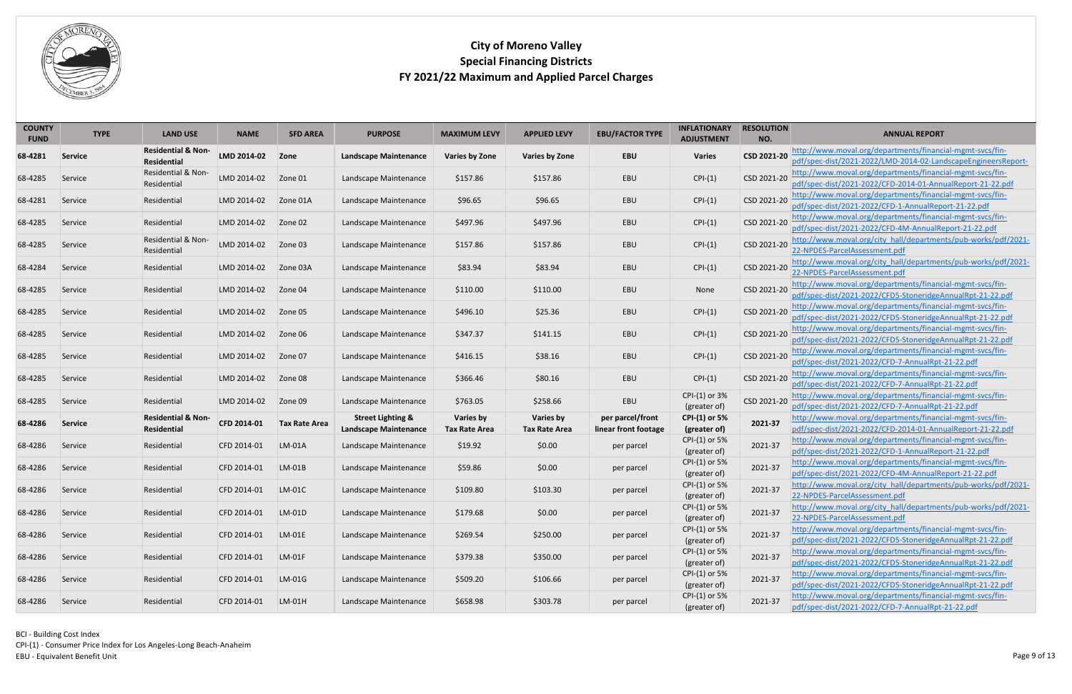

<span id="page-8-0"></span>

| <b>Residential &amp; Non-</b><br>http://www.moval.org/departments/financial-mgmt-svcs/fin-<br>CSD 2021-20<br>LMD 2014-02<br><b>EBU</b><br><b>Varies</b><br>68-4281<br>Zone<br><b>Landscape Maintenance</b><br><b>Varies by Zone</b><br><b>Varies by Zone</b><br>Service<br>pdf/spec-dist/2021-2022/LMD-2014-02-LandscapeEngineersReport-<br><b>Residential</b><br>http://www.moval.org/departments/financial-mgmt-svcs/fin-<br>Residential & Non-<br>EBU<br>CSD 2021-20<br>LMD 2014-02<br>Landscape Maintenance<br>\$157.86<br>\$157.86<br>$CPI-(1)$<br>68-4285<br>Zone 01<br>Service<br>pdf/spec-dist/2021-2022/CFD-2014-01-AnnualReport-21-22.pdf<br>Residential<br>http://www.moval.org/departments/financial-mgmt-svcs/fin-<br>$CPI-(1)$<br>CSD 2021-20<br>\$96.65<br>\$96.65<br>EBU<br>LMD 2014-02<br>68-4281<br>Service<br>Residential<br>Zone 01A<br>Landscape Maintenance<br>pdf/spec-dist/2021-2022/CFD-1-AnnualReport-21-22.pdf<br>http://www.moval.org/departments/financial-mgmt-svcs/fin-<br>CSD 2021-20<br>\$497.96<br>\$497.96<br>EBU<br>$CPI-(1)$<br>LMD 2014-02<br>Landscape Maintenance<br>68-4285<br>Residential<br>Zone 02<br>Service<br>pdf/spec-dist/2021-2022/CFD-4M-AnnualReport-21-22.pdf<br>Residential & Non-<br>http://www.moval.org/city_hall/departments/pub-works/pdf/2021-<br>$CPI-(1)$<br>CSD 2021-20<br>EBU<br>LMD 2014-02<br>\$157.86<br>\$157.86<br>68-4285<br>Zone 03<br>Landscape Maintenance<br>Service<br>22-NPDES-ParcelAssessment.pdf<br>Residential<br>http://www.moval.org/city hall/departments/pub-works/pdf/2021-<br>CSD 2021-20<br>$CPI-(1)$<br>EBU<br>Landscape Maintenance<br>\$83.94<br>\$83.94<br>68-4284<br>Residential<br>LMD 2014-02<br>Zone 03A<br>Service<br>22-NPDES-ParcelAssessment.pdf<br>http://www.moval.org/departments/financial-mgmt-svcs/fin-<br>CSD 2021-20<br>\$110.00<br>\$110.00<br>EBU<br>68-4285<br>LMD 2014-02<br>Zone 04<br>Landscape Maintenance<br>None<br>Residential<br>Service<br>pdf/spec-dist/2021-2022/CFD5-StoneridgeAnnualRpt-21-22.pdf<br>http://www.moval.org/departments/financial-mgmt-svcs/fin-<br>$CPI-(1)$<br>CSD 2021-20<br>\$25.36<br>EBU<br>\$496.10<br>68-4285<br>LMD 2014-02<br>Zone 05<br>Landscape Maintenance<br>Service<br>Residential<br>pdf/spec-dist/2021-2022/CFD5-StoneridgeAnnualRpt-21-22.pdf<br>http://www.moval.org/departments/financial-mgmt-svcs/fin-<br>CSD 2021-20<br>EBU<br>\$347.37<br>\$141.15<br>$CPI-(1)$<br>68-4285<br>LMD 2014-02<br>Zone 06<br>Landscape Maintenance<br>Service<br>Residential<br>pdf/spec-dist/2021-2022/CFD5-StoneridgeAnnualRpt-21-22.pdf<br>http://www.moval.org/departments/financial-mgmt-svcs/fin-<br>EBU<br>CSD 2021-20<br>\$416.15<br>\$38.16<br>$CPI-(1)$<br>68-4285<br>LMD 2014-02<br>Zone 07<br>Landscape Maintenance<br>Service<br>Residential<br>pdf/spec-dist/2021-2022/CFD-7-AnnualRpt-21-22.pdf<br>http://www.moval.org/departments/financial-mgmt-svcs/fin-<br>CSD 2021-20<br>EBU<br>$CPI-(1)$<br>68-4285<br>LMD 2014-02<br>Zone 08<br>Landscape Maintenance<br>\$366.46<br>\$80.16<br>Service<br>Residential<br>pdf/spec-dist/2021-2022/CFD-7-AnnualRpt-21-22.pdf<br>CPI-(1) or 3%<br>http://www.moval.org/departments/financial-mgmt-svcs/fin-<br>CSD 2021-20<br>\$258.66<br>EBU<br>\$763.05<br>68-4285<br>LMD 2014-02<br>Zone 09<br>Residential<br>Landscape Maintenance<br>Service<br>pdf/spec-dist/2021-2022/CFD-7-AnnualRpt-21-22.pdf<br>(greater of)<br><b>Street Lighting &amp;</b><br>http://www.moval.org/departments/financial-mgmt-svcs/fin-<br><b>Residential &amp; Non-</b><br>Varies by<br>Varies by<br>per parcel/front<br><b>CPI-(1) or 5%</b><br>2021-37<br>CFD 2014-01<br><b>Tax Rate Area</b><br>68-4286<br><b>Service</b><br><b>Landscape Maintenance</b><br>pdf/spec-dist/2021-2022/CFD-2014-01-AnnualReport-21-22.pdf<br>linear front footage<br><b>Residential</b><br><b>Tax Rate Area</b><br>(greater of)<br><b>Tax Rate Area</b><br>http://www.moval.org/departments/financial-mgmt-svcs/fin-<br>CPI-(1) or 5%<br>\$19.92<br>\$0.00<br>2021-37<br>68-4286<br>CFD 2014-01<br>LM-01A<br>Landscape Maintenance<br>Residential<br>Service<br>per parcel<br>pdf/spec-dist/2021-2022/CFD-1-AnnualReport-21-22.pdf<br>(greater of)<br>CPI-(1) or 5%<br>http://www.moval.org/departments/financial-mgmt-svcs/fin-<br>2021-37<br>\$59.86<br>\$0.00<br>68-4286<br>CFD 2014-01<br>$LM-01B$<br>Landscape Maintenance<br>Service<br>Residential<br>per parcel<br>pdf/spec-dist/2021-2022/CFD-4M-AnnualReport-21-22.pdf<br>(greater of)<br>CPI-(1) or 5%<br>http://www.moval.org/city_hall/departments/pub-works/pdf/2021-<br>2021-37<br>\$103.30<br>CFD 2014-01<br>$LM-01C$<br>\$109.80<br>Residential<br>Landscape Maintenance<br>Service<br>per parcel<br>22-NPDES-ParcelAssessment.pdf<br>(greater of)<br>CPI-(1) or 5%<br>http://www.moval.org/city_hall/departments/pub-works/pdf/2021-<br>2021-37<br>\$0.00<br>$LM-01D$<br>\$179.68<br>68-4286<br>CFD 2014-01<br>Landscape Maintenance<br>Service<br>Residential<br>per parcel<br>22-NPDES-ParcelAssessment.pdf<br>(greater of)<br>CPI-(1) or 5%<br>http://www.moval.org/departments/financial-mgmt-svcs/fin-<br>2021-37<br>\$250.00<br>\$269.54<br>68-4286<br>CFD 2014-01<br>$LM-01E$<br>Landscape Maintenance<br>Service<br>Residential<br>per parcel<br>pdf/spec-dist/2021-2022/CFD5-StoneridgeAnnualRpt-21-22.pdf<br>(greater of)<br>http://www.moval.org/departments/financial-mgmt-svcs/fin-<br>CPI-(1) or 5%<br>2021-37<br>\$379.38<br>\$350.00<br>68-4286<br>CFD 2014-01<br>$LM-01F$<br>Landscape Maintenance<br>Service<br>Residential<br>per parcel<br>pdf/spec-dist/2021-2022/CFD5-StoneridgeAnnualRpt-21-22.pdf<br>(greater of)<br>http://www.moval.org/departments/financial-mgmt-svcs/fin-<br>CPI-(1) or 5%<br>2021-37<br>\$509.20<br>\$106.66<br>Residential<br>CFD 2014-01<br>$LM-01G$<br>Landscape Maintenance<br>Service<br>per parcel<br>pdf/spec-dist/2021-2022/CFD5-StoneridgeAnnualRpt-21-22.pdf<br>(greater of)<br>CPI-(1) or 5%<br>http://www.moval.org/departments/financial-mgmt-svcs/fin-<br>2021-37<br>\$658.98<br>\$303.78<br>CFD 2014-01<br>LM-01H<br>Landscape Maintenance<br>Service<br>Residential<br>per parcel | <b>COUNTY</b><br><b>FUND</b> | <b>TYPE</b> | <b>LAND USE</b> | <b>NAME</b> | <b>SFD AREA</b> | <b>PURPOSE</b> | <b>MAXIMUM LEVY</b> | <b>APPLIED LEVY</b> | <b>EBU/FACTOR TYPE</b> | <b>INFLATIONARY</b><br><b>ADJUSTMENT</b> | <b>RESOLUTION</b><br>NO. | <b>ANNUAL REPORT</b>                              |
|-----------------------------------------------------------------------------------------------------------------------------------------------------------------------------------------------------------------------------------------------------------------------------------------------------------------------------------------------------------------------------------------------------------------------------------------------------------------------------------------------------------------------------------------------------------------------------------------------------------------------------------------------------------------------------------------------------------------------------------------------------------------------------------------------------------------------------------------------------------------------------------------------------------------------------------------------------------------------------------------------------------------------------------------------------------------------------------------------------------------------------------------------------------------------------------------------------------------------------------------------------------------------------------------------------------------------------------------------------------------------------------------------------------------------------------------------------------------------------------------------------------------------------------------------------------------------------------------------------------------------------------------------------------------------------------------------------------------------------------------------------------------------------------------------------------------------------------------------------------------------------------------------------------------------------------------------------------------------------------------------------------------------------------------------------------------------------------------------------------------------------------------------------------------------------------------------------------------------------------------------------------------------------------------------------------------------------------------------------------------------------------------------------------------------------------------------------------------------------------------------------------------------------------------------------------------------------------------------------------------------------------------------------------------------------------------------------------------------------------------------------------------------------------------------------------------------------------------------------------------------------------------------------------------------------------------------------------------------------------------------------------------------------------------------------------------------------------------------------------------------------------------------------------------------------------------------------------------------------------------------------------------------------------------------------------------------------------------------------------------------------------------------------------------------------------------------------------------------------------------------------------------------------------------------------------------------------------------------------------------------------------------------------------------------------------------------------------------------------------------------------------------------------------------------------------------------------------------------------------------------------------------------------------------------------------------------------------------------------------------------------------------------------------------------------------------------------------------------------------------------------------------------------------------------------------------------------------------------------------------------------------------------------------------------------------------------------------------------------------------------------------------------------------------------------------------------------------------------------------------------------------------------------------------------------------------------------------------------------------------------------------------------------------------------------------------------------------------------------------------------------------------------------------------------------------------------------------------------------------------------------------------------------------------------------------------------------------------------------------------------------------------------------------------------------------------------------------------------------------------------------------------------------------------------------------------------------------------------------------------------------------------------------------------------------------------------------------------------------------------------------------------------------------------------------------------------------------------------------------------------------------------------------------------------------------------------------------------------------------------------------------------------------------------------------------------------------------------------------------------------------------------------------------------------------------------------------------------------------------------------------------------------------------------------------------------------------------------------------------------------------------------------------------------------------------------------------------------------------------------------------------------------------------------------------------|------------------------------|-------------|-----------------|-------------|-----------------|----------------|---------------------|---------------------|------------------------|------------------------------------------|--------------------------|---------------------------------------------------|
|                                                                                                                                                                                                                                                                                                                                                                                                                                                                                                                                                                                                                                                                                                                                                                                                                                                                                                                                                                                                                                                                                                                                                                                                                                                                                                                                                                                                                                                                                                                                                                                                                                                                                                                                                                                                                                                                                                                                                                                                                                                                                                                                                                                                                                                                                                                                                                                                                                                                                                                                                                                                                                                                                                                                                                                                                                                                                                                                                                                                                                                                                                                                                                                                                                                                                                                                                                                                                                                                                                                                                                                                                                                                                                                                                                                                                                                                                                                                                                                                                                                                                                                                                                                                                                                                                                                                                                                                                                                                                                                                                                                                                                                                                                                                                                                                                                                                                                                                                                                                                                                                                                                                                                                                                                                                                                                                                                                                                                                                                                                                                                                                                                                                                                                                                                                                                                                                                                                                                                                                                                                                                                                                                                                   |                              |             |                 |             |                 |                |                     |                     |                        |                                          |                          |                                                   |
|                                                                                                                                                                                                                                                                                                                                                                                                                                                                                                                                                                                                                                                                                                                                                                                                                                                                                                                                                                                                                                                                                                                                                                                                                                                                                                                                                                                                                                                                                                                                                                                                                                                                                                                                                                                                                                                                                                                                                                                                                                                                                                                                                                                                                                                                                                                                                                                                                                                                                                                                                                                                                                                                                                                                                                                                                                                                                                                                                                                                                                                                                                                                                                                                                                                                                                                                                                                                                                                                                                                                                                                                                                                                                                                                                                                                                                                                                                                                                                                                                                                                                                                                                                                                                                                                                                                                                                                                                                                                                                                                                                                                                                                                                                                                                                                                                                                                                                                                                                                                                                                                                                                                                                                                                                                                                                                                                                                                                                                                                                                                                                                                                                                                                                                                                                                                                                                                                                                                                                                                                                                                                                                                                                                   |                              |             |                 |             |                 |                |                     |                     |                        |                                          |                          |                                                   |
|                                                                                                                                                                                                                                                                                                                                                                                                                                                                                                                                                                                                                                                                                                                                                                                                                                                                                                                                                                                                                                                                                                                                                                                                                                                                                                                                                                                                                                                                                                                                                                                                                                                                                                                                                                                                                                                                                                                                                                                                                                                                                                                                                                                                                                                                                                                                                                                                                                                                                                                                                                                                                                                                                                                                                                                                                                                                                                                                                                                                                                                                                                                                                                                                                                                                                                                                                                                                                                                                                                                                                                                                                                                                                                                                                                                                                                                                                                                                                                                                                                                                                                                                                                                                                                                                                                                                                                                                                                                                                                                                                                                                                                                                                                                                                                                                                                                                                                                                                                                                                                                                                                                                                                                                                                                                                                                                                                                                                                                                                                                                                                                                                                                                                                                                                                                                                                                                                                                                                                                                                                                                                                                                                                                   |                              |             |                 |             |                 |                |                     |                     |                        |                                          |                          |                                                   |
|                                                                                                                                                                                                                                                                                                                                                                                                                                                                                                                                                                                                                                                                                                                                                                                                                                                                                                                                                                                                                                                                                                                                                                                                                                                                                                                                                                                                                                                                                                                                                                                                                                                                                                                                                                                                                                                                                                                                                                                                                                                                                                                                                                                                                                                                                                                                                                                                                                                                                                                                                                                                                                                                                                                                                                                                                                                                                                                                                                                                                                                                                                                                                                                                                                                                                                                                                                                                                                                                                                                                                                                                                                                                                                                                                                                                                                                                                                                                                                                                                                                                                                                                                                                                                                                                                                                                                                                                                                                                                                                                                                                                                                                                                                                                                                                                                                                                                                                                                                                                                                                                                                                                                                                                                                                                                                                                                                                                                                                                                                                                                                                                                                                                                                                                                                                                                                                                                                                                                                                                                                                                                                                                                                                   |                              |             |                 |             |                 |                |                     |                     |                        |                                          |                          |                                                   |
|                                                                                                                                                                                                                                                                                                                                                                                                                                                                                                                                                                                                                                                                                                                                                                                                                                                                                                                                                                                                                                                                                                                                                                                                                                                                                                                                                                                                                                                                                                                                                                                                                                                                                                                                                                                                                                                                                                                                                                                                                                                                                                                                                                                                                                                                                                                                                                                                                                                                                                                                                                                                                                                                                                                                                                                                                                                                                                                                                                                                                                                                                                                                                                                                                                                                                                                                                                                                                                                                                                                                                                                                                                                                                                                                                                                                                                                                                                                                                                                                                                                                                                                                                                                                                                                                                                                                                                                                                                                                                                                                                                                                                                                                                                                                                                                                                                                                                                                                                                                                                                                                                                                                                                                                                                                                                                                                                                                                                                                                                                                                                                                                                                                                                                                                                                                                                                                                                                                                                                                                                                                                                                                                                                                   |                              |             |                 |             |                 |                |                     |                     |                        |                                          |                          |                                                   |
|                                                                                                                                                                                                                                                                                                                                                                                                                                                                                                                                                                                                                                                                                                                                                                                                                                                                                                                                                                                                                                                                                                                                                                                                                                                                                                                                                                                                                                                                                                                                                                                                                                                                                                                                                                                                                                                                                                                                                                                                                                                                                                                                                                                                                                                                                                                                                                                                                                                                                                                                                                                                                                                                                                                                                                                                                                                                                                                                                                                                                                                                                                                                                                                                                                                                                                                                                                                                                                                                                                                                                                                                                                                                                                                                                                                                                                                                                                                                                                                                                                                                                                                                                                                                                                                                                                                                                                                                                                                                                                                                                                                                                                                                                                                                                                                                                                                                                                                                                                                                                                                                                                                                                                                                                                                                                                                                                                                                                                                                                                                                                                                                                                                                                                                                                                                                                                                                                                                                                                                                                                                                                                                                                                                   |                              |             |                 |             |                 |                |                     |                     |                        |                                          |                          |                                                   |
|                                                                                                                                                                                                                                                                                                                                                                                                                                                                                                                                                                                                                                                                                                                                                                                                                                                                                                                                                                                                                                                                                                                                                                                                                                                                                                                                                                                                                                                                                                                                                                                                                                                                                                                                                                                                                                                                                                                                                                                                                                                                                                                                                                                                                                                                                                                                                                                                                                                                                                                                                                                                                                                                                                                                                                                                                                                                                                                                                                                                                                                                                                                                                                                                                                                                                                                                                                                                                                                                                                                                                                                                                                                                                                                                                                                                                                                                                                                                                                                                                                                                                                                                                                                                                                                                                                                                                                                                                                                                                                                                                                                                                                                                                                                                                                                                                                                                                                                                                                                                                                                                                                                                                                                                                                                                                                                                                                                                                                                                                                                                                                                                                                                                                                                                                                                                                                                                                                                                                                                                                                                                                                                                                                                   |                              |             |                 |             |                 |                |                     |                     |                        |                                          |                          |                                                   |
|                                                                                                                                                                                                                                                                                                                                                                                                                                                                                                                                                                                                                                                                                                                                                                                                                                                                                                                                                                                                                                                                                                                                                                                                                                                                                                                                                                                                                                                                                                                                                                                                                                                                                                                                                                                                                                                                                                                                                                                                                                                                                                                                                                                                                                                                                                                                                                                                                                                                                                                                                                                                                                                                                                                                                                                                                                                                                                                                                                                                                                                                                                                                                                                                                                                                                                                                                                                                                                                                                                                                                                                                                                                                                                                                                                                                                                                                                                                                                                                                                                                                                                                                                                                                                                                                                                                                                                                                                                                                                                                                                                                                                                                                                                                                                                                                                                                                                                                                                                                                                                                                                                                                                                                                                                                                                                                                                                                                                                                                                                                                                                                                                                                                                                                                                                                                                                                                                                                                                                                                                                                                                                                                                                                   |                              |             |                 |             |                 |                |                     |                     |                        |                                          |                          |                                                   |
|                                                                                                                                                                                                                                                                                                                                                                                                                                                                                                                                                                                                                                                                                                                                                                                                                                                                                                                                                                                                                                                                                                                                                                                                                                                                                                                                                                                                                                                                                                                                                                                                                                                                                                                                                                                                                                                                                                                                                                                                                                                                                                                                                                                                                                                                                                                                                                                                                                                                                                                                                                                                                                                                                                                                                                                                                                                                                                                                                                                                                                                                                                                                                                                                                                                                                                                                                                                                                                                                                                                                                                                                                                                                                                                                                                                                                                                                                                                                                                                                                                                                                                                                                                                                                                                                                                                                                                                                                                                                                                                                                                                                                                                                                                                                                                                                                                                                                                                                                                                                                                                                                                                                                                                                                                                                                                                                                                                                                                                                                                                                                                                                                                                                                                                                                                                                                                                                                                                                                                                                                                                                                                                                                                                   |                              |             |                 |             |                 |                |                     |                     |                        |                                          |                          |                                                   |
|                                                                                                                                                                                                                                                                                                                                                                                                                                                                                                                                                                                                                                                                                                                                                                                                                                                                                                                                                                                                                                                                                                                                                                                                                                                                                                                                                                                                                                                                                                                                                                                                                                                                                                                                                                                                                                                                                                                                                                                                                                                                                                                                                                                                                                                                                                                                                                                                                                                                                                                                                                                                                                                                                                                                                                                                                                                                                                                                                                                                                                                                                                                                                                                                                                                                                                                                                                                                                                                                                                                                                                                                                                                                                                                                                                                                                                                                                                                                                                                                                                                                                                                                                                                                                                                                                                                                                                                                                                                                                                                                                                                                                                                                                                                                                                                                                                                                                                                                                                                                                                                                                                                                                                                                                                                                                                                                                                                                                                                                                                                                                                                                                                                                                                                                                                                                                                                                                                                                                                                                                                                                                                                                                                                   |                              |             |                 |             |                 |                |                     |                     |                        |                                          |                          |                                                   |
|                                                                                                                                                                                                                                                                                                                                                                                                                                                                                                                                                                                                                                                                                                                                                                                                                                                                                                                                                                                                                                                                                                                                                                                                                                                                                                                                                                                                                                                                                                                                                                                                                                                                                                                                                                                                                                                                                                                                                                                                                                                                                                                                                                                                                                                                                                                                                                                                                                                                                                                                                                                                                                                                                                                                                                                                                                                                                                                                                                                                                                                                                                                                                                                                                                                                                                                                                                                                                                                                                                                                                                                                                                                                                                                                                                                                                                                                                                                                                                                                                                                                                                                                                                                                                                                                                                                                                                                                                                                                                                                                                                                                                                                                                                                                                                                                                                                                                                                                                                                                                                                                                                                                                                                                                                                                                                                                                                                                                                                                                                                                                                                                                                                                                                                                                                                                                                                                                                                                                                                                                                                                                                                                                                                   |                              |             |                 |             |                 |                |                     |                     |                        |                                          |                          |                                                   |
|                                                                                                                                                                                                                                                                                                                                                                                                                                                                                                                                                                                                                                                                                                                                                                                                                                                                                                                                                                                                                                                                                                                                                                                                                                                                                                                                                                                                                                                                                                                                                                                                                                                                                                                                                                                                                                                                                                                                                                                                                                                                                                                                                                                                                                                                                                                                                                                                                                                                                                                                                                                                                                                                                                                                                                                                                                                                                                                                                                                                                                                                                                                                                                                                                                                                                                                                                                                                                                                                                                                                                                                                                                                                                                                                                                                                                                                                                                                                                                                                                                                                                                                                                                                                                                                                                                                                                                                                                                                                                                                                                                                                                                                                                                                                                                                                                                                                                                                                                                                                                                                                                                                                                                                                                                                                                                                                                                                                                                                                                                                                                                                                                                                                                                                                                                                                                                                                                                                                                                                                                                                                                                                                                                                   |                              |             |                 |             |                 |                |                     |                     |                        |                                          |                          |                                                   |
|                                                                                                                                                                                                                                                                                                                                                                                                                                                                                                                                                                                                                                                                                                                                                                                                                                                                                                                                                                                                                                                                                                                                                                                                                                                                                                                                                                                                                                                                                                                                                                                                                                                                                                                                                                                                                                                                                                                                                                                                                                                                                                                                                                                                                                                                                                                                                                                                                                                                                                                                                                                                                                                                                                                                                                                                                                                                                                                                                                                                                                                                                                                                                                                                                                                                                                                                                                                                                                                                                                                                                                                                                                                                                                                                                                                                                                                                                                                                                                                                                                                                                                                                                                                                                                                                                                                                                                                                                                                                                                                                                                                                                                                                                                                                                                                                                                                                                                                                                                                                                                                                                                                                                                                                                                                                                                                                                                                                                                                                                                                                                                                                                                                                                                                                                                                                                                                                                                                                                                                                                                                                                                                                                                                   |                              |             |                 |             |                 |                |                     |                     |                        |                                          |                          |                                                   |
|                                                                                                                                                                                                                                                                                                                                                                                                                                                                                                                                                                                                                                                                                                                                                                                                                                                                                                                                                                                                                                                                                                                                                                                                                                                                                                                                                                                                                                                                                                                                                                                                                                                                                                                                                                                                                                                                                                                                                                                                                                                                                                                                                                                                                                                                                                                                                                                                                                                                                                                                                                                                                                                                                                                                                                                                                                                                                                                                                                                                                                                                                                                                                                                                                                                                                                                                                                                                                                                                                                                                                                                                                                                                                                                                                                                                                                                                                                                                                                                                                                                                                                                                                                                                                                                                                                                                                                                                                                                                                                                                                                                                                                                                                                                                                                                                                                                                                                                                                                                                                                                                                                                                                                                                                                                                                                                                                                                                                                                                                                                                                                                                                                                                                                                                                                                                                                                                                                                                                                                                                                                                                                                                                                                   |                              |             |                 |             |                 |                |                     |                     |                        |                                          |                          |                                                   |
|                                                                                                                                                                                                                                                                                                                                                                                                                                                                                                                                                                                                                                                                                                                                                                                                                                                                                                                                                                                                                                                                                                                                                                                                                                                                                                                                                                                                                                                                                                                                                                                                                                                                                                                                                                                                                                                                                                                                                                                                                                                                                                                                                                                                                                                                                                                                                                                                                                                                                                                                                                                                                                                                                                                                                                                                                                                                                                                                                                                                                                                                                                                                                                                                                                                                                                                                                                                                                                                                                                                                                                                                                                                                                                                                                                                                                                                                                                                                                                                                                                                                                                                                                                                                                                                                                                                                                                                                                                                                                                                                                                                                                                                                                                                                                                                                                                                                                                                                                                                                                                                                                                                                                                                                                                                                                                                                                                                                                                                                                                                                                                                                                                                                                                                                                                                                                                                                                                                                                                                                                                                                                                                                                                                   |                              |             |                 |             |                 |                |                     |                     |                        |                                          |                          |                                                   |
|                                                                                                                                                                                                                                                                                                                                                                                                                                                                                                                                                                                                                                                                                                                                                                                                                                                                                                                                                                                                                                                                                                                                                                                                                                                                                                                                                                                                                                                                                                                                                                                                                                                                                                                                                                                                                                                                                                                                                                                                                                                                                                                                                                                                                                                                                                                                                                                                                                                                                                                                                                                                                                                                                                                                                                                                                                                                                                                                                                                                                                                                                                                                                                                                                                                                                                                                                                                                                                                                                                                                                                                                                                                                                                                                                                                                                                                                                                                                                                                                                                                                                                                                                                                                                                                                                                                                                                                                                                                                                                                                                                                                                                                                                                                                                                                                                                                                                                                                                                                                                                                                                                                                                                                                                                                                                                                                                                                                                                                                                                                                                                                                                                                                                                                                                                                                                                                                                                                                                                                                                                                                                                                                                                                   |                              |             |                 |             |                 |                |                     |                     |                        |                                          |                          |                                                   |
|                                                                                                                                                                                                                                                                                                                                                                                                                                                                                                                                                                                                                                                                                                                                                                                                                                                                                                                                                                                                                                                                                                                                                                                                                                                                                                                                                                                                                                                                                                                                                                                                                                                                                                                                                                                                                                                                                                                                                                                                                                                                                                                                                                                                                                                                                                                                                                                                                                                                                                                                                                                                                                                                                                                                                                                                                                                                                                                                                                                                                                                                                                                                                                                                                                                                                                                                                                                                                                                                                                                                                                                                                                                                                                                                                                                                                                                                                                                                                                                                                                                                                                                                                                                                                                                                                                                                                                                                                                                                                                                                                                                                                                                                                                                                                                                                                                                                                                                                                                                                                                                                                                                                                                                                                                                                                                                                                                                                                                                                                                                                                                                                                                                                                                                                                                                                                                                                                                                                                                                                                                                                                                                                                                                   |                              |             |                 |             |                 |                |                     |                     |                        |                                          |                          |                                                   |
|                                                                                                                                                                                                                                                                                                                                                                                                                                                                                                                                                                                                                                                                                                                                                                                                                                                                                                                                                                                                                                                                                                                                                                                                                                                                                                                                                                                                                                                                                                                                                                                                                                                                                                                                                                                                                                                                                                                                                                                                                                                                                                                                                                                                                                                                                                                                                                                                                                                                                                                                                                                                                                                                                                                                                                                                                                                                                                                                                                                                                                                                                                                                                                                                                                                                                                                                                                                                                                                                                                                                                                                                                                                                                                                                                                                                                                                                                                                                                                                                                                                                                                                                                                                                                                                                                                                                                                                                                                                                                                                                                                                                                                                                                                                                                                                                                                                                                                                                                                                                                                                                                                                                                                                                                                                                                                                                                                                                                                                                                                                                                                                                                                                                                                                                                                                                                                                                                                                                                                                                                                                                                                                                                                                   |                              |             |                 |             |                 |                |                     |                     |                        |                                          |                          |                                                   |
|                                                                                                                                                                                                                                                                                                                                                                                                                                                                                                                                                                                                                                                                                                                                                                                                                                                                                                                                                                                                                                                                                                                                                                                                                                                                                                                                                                                                                                                                                                                                                                                                                                                                                                                                                                                                                                                                                                                                                                                                                                                                                                                                                                                                                                                                                                                                                                                                                                                                                                                                                                                                                                                                                                                                                                                                                                                                                                                                                                                                                                                                                                                                                                                                                                                                                                                                                                                                                                                                                                                                                                                                                                                                                                                                                                                                                                                                                                                                                                                                                                                                                                                                                                                                                                                                                                                                                                                                                                                                                                                                                                                                                                                                                                                                                                                                                                                                                                                                                                                                                                                                                                                                                                                                                                                                                                                                                                                                                                                                                                                                                                                                                                                                                                                                                                                                                                                                                                                                                                                                                                                                                                                                                                                   |                              |             |                 |             |                 |                |                     |                     |                        |                                          |                          |                                                   |
|                                                                                                                                                                                                                                                                                                                                                                                                                                                                                                                                                                                                                                                                                                                                                                                                                                                                                                                                                                                                                                                                                                                                                                                                                                                                                                                                                                                                                                                                                                                                                                                                                                                                                                                                                                                                                                                                                                                                                                                                                                                                                                                                                                                                                                                                                                                                                                                                                                                                                                                                                                                                                                                                                                                                                                                                                                                                                                                                                                                                                                                                                                                                                                                                                                                                                                                                                                                                                                                                                                                                                                                                                                                                                                                                                                                                                                                                                                                                                                                                                                                                                                                                                                                                                                                                                                                                                                                                                                                                                                                                                                                                                                                                                                                                                                                                                                                                                                                                                                                                                                                                                                                                                                                                                                                                                                                                                                                                                                                                                                                                                                                                                                                                                                                                                                                                                                                                                                                                                                                                                                                                                                                                                                                   |                              |             |                 |             |                 |                |                     |                     |                        |                                          |                          |                                                   |
|                                                                                                                                                                                                                                                                                                                                                                                                                                                                                                                                                                                                                                                                                                                                                                                                                                                                                                                                                                                                                                                                                                                                                                                                                                                                                                                                                                                                                                                                                                                                                                                                                                                                                                                                                                                                                                                                                                                                                                                                                                                                                                                                                                                                                                                                                                                                                                                                                                                                                                                                                                                                                                                                                                                                                                                                                                                                                                                                                                                                                                                                                                                                                                                                                                                                                                                                                                                                                                                                                                                                                                                                                                                                                                                                                                                                                                                                                                                                                                                                                                                                                                                                                                                                                                                                                                                                                                                                                                                                                                                                                                                                                                                                                                                                                                                                                                                                                                                                                                                                                                                                                                                                                                                                                                                                                                                                                                                                                                                                                                                                                                                                                                                                                                                                                                                                                                                                                                                                                                                                                                                                                                                                                                                   |                              |             |                 |             |                 |                |                     |                     |                        |                                          |                          |                                                   |
|                                                                                                                                                                                                                                                                                                                                                                                                                                                                                                                                                                                                                                                                                                                                                                                                                                                                                                                                                                                                                                                                                                                                                                                                                                                                                                                                                                                                                                                                                                                                                                                                                                                                                                                                                                                                                                                                                                                                                                                                                                                                                                                                                                                                                                                                                                                                                                                                                                                                                                                                                                                                                                                                                                                                                                                                                                                                                                                                                                                                                                                                                                                                                                                                                                                                                                                                                                                                                                                                                                                                                                                                                                                                                                                                                                                                                                                                                                                                                                                                                                                                                                                                                                                                                                                                                                                                                                                                                                                                                                                                                                                                                                                                                                                                                                                                                                                                                                                                                                                                                                                                                                                                                                                                                                                                                                                                                                                                                                                                                                                                                                                                                                                                                                                                                                                                                                                                                                                                                                                                                                                                                                                                                                                   |                              |             |                 |             |                 |                |                     |                     |                        |                                          |                          |                                                   |
|                                                                                                                                                                                                                                                                                                                                                                                                                                                                                                                                                                                                                                                                                                                                                                                                                                                                                                                                                                                                                                                                                                                                                                                                                                                                                                                                                                                                                                                                                                                                                                                                                                                                                                                                                                                                                                                                                                                                                                                                                                                                                                                                                                                                                                                                                                                                                                                                                                                                                                                                                                                                                                                                                                                                                                                                                                                                                                                                                                                                                                                                                                                                                                                                                                                                                                                                                                                                                                                                                                                                                                                                                                                                                                                                                                                                                                                                                                                                                                                                                                                                                                                                                                                                                                                                                                                                                                                                                                                                                                                                                                                                                                                                                                                                                                                                                                                                                                                                                                                                                                                                                                                                                                                                                                                                                                                                                                                                                                                                                                                                                                                                                                                                                                                                                                                                                                                                                                                                                                                                                                                                                                                                                                                   |                              |             |                 |             |                 |                |                     |                     |                        |                                          |                          |                                                   |
|                                                                                                                                                                                                                                                                                                                                                                                                                                                                                                                                                                                                                                                                                                                                                                                                                                                                                                                                                                                                                                                                                                                                                                                                                                                                                                                                                                                                                                                                                                                                                                                                                                                                                                                                                                                                                                                                                                                                                                                                                                                                                                                                                                                                                                                                                                                                                                                                                                                                                                                                                                                                                                                                                                                                                                                                                                                                                                                                                                                                                                                                                                                                                                                                                                                                                                                                                                                                                                                                                                                                                                                                                                                                                                                                                                                                                                                                                                                                                                                                                                                                                                                                                                                                                                                                                                                                                                                                                                                                                                                                                                                                                                                                                                                                                                                                                                                                                                                                                                                                                                                                                                                                                                                                                                                                                                                                                                                                                                                                                                                                                                                                                                                                                                                                                                                                                                                                                                                                                                                                                                                                                                                                                                                   |                              |             |                 |             |                 |                |                     |                     |                        |                                          |                          |                                                   |
|                                                                                                                                                                                                                                                                                                                                                                                                                                                                                                                                                                                                                                                                                                                                                                                                                                                                                                                                                                                                                                                                                                                                                                                                                                                                                                                                                                                                                                                                                                                                                                                                                                                                                                                                                                                                                                                                                                                                                                                                                                                                                                                                                                                                                                                                                                                                                                                                                                                                                                                                                                                                                                                                                                                                                                                                                                                                                                                                                                                                                                                                                                                                                                                                                                                                                                                                                                                                                                                                                                                                                                                                                                                                                                                                                                                                                                                                                                                                                                                                                                                                                                                                                                                                                                                                                                                                                                                                                                                                                                                                                                                                                                                                                                                                                                                                                                                                                                                                                                                                                                                                                                                                                                                                                                                                                                                                                                                                                                                                                                                                                                                                                                                                                                                                                                                                                                                                                                                                                                                                                                                                                                                                                                                   | 68-4286                      |             |                 |             |                 |                |                     |                     |                        |                                          |                          |                                                   |
|                                                                                                                                                                                                                                                                                                                                                                                                                                                                                                                                                                                                                                                                                                                                                                                                                                                                                                                                                                                                                                                                                                                                                                                                                                                                                                                                                                                                                                                                                                                                                                                                                                                                                                                                                                                                                                                                                                                                                                                                                                                                                                                                                                                                                                                                                                                                                                                                                                                                                                                                                                                                                                                                                                                                                                                                                                                                                                                                                                                                                                                                                                                                                                                                                                                                                                                                                                                                                                                                                                                                                                                                                                                                                                                                                                                                                                                                                                                                                                                                                                                                                                                                                                                                                                                                                                                                                                                                                                                                                                                                                                                                                                                                                                                                                                                                                                                                                                                                                                                                                                                                                                                                                                                                                                                                                                                                                                                                                                                                                                                                                                                                                                                                                                                                                                                                                                                                                                                                                                                                                                                                                                                                                                                   |                              |             |                 |             |                 |                |                     |                     |                        |                                          |                          |                                                   |
|                                                                                                                                                                                                                                                                                                                                                                                                                                                                                                                                                                                                                                                                                                                                                                                                                                                                                                                                                                                                                                                                                                                                                                                                                                                                                                                                                                                                                                                                                                                                                                                                                                                                                                                                                                                                                                                                                                                                                                                                                                                                                                                                                                                                                                                                                                                                                                                                                                                                                                                                                                                                                                                                                                                                                                                                                                                                                                                                                                                                                                                                                                                                                                                                                                                                                                                                                                                                                                                                                                                                                                                                                                                                                                                                                                                                                                                                                                                                                                                                                                                                                                                                                                                                                                                                                                                                                                                                                                                                                                                                                                                                                                                                                                                                                                                                                                                                                                                                                                                                                                                                                                                                                                                                                                                                                                                                                                                                                                                                                                                                                                                                                                                                                                                                                                                                                                                                                                                                                                                                                                                                                                                                                                                   |                              |             |                 |             |                 |                |                     |                     |                        |                                          |                          |                                                   |
|                                                                                                                                                                                                                                                                                                                                                                                                                                                                                                                                                                                                                                                                                                                                                                                                                                                                                                                                                                                                                                                                                                                                                                                                                                                                                                                                                                                                                                                                                                                                                                                                                                                                                                                                                                                                                                                                                                                                                                                                                                                                                                                                                                                                                                                                                                                                                                                                                                                                                                                                                                                                                                                                                                                                                                                                                                                                                                                                                                                                                                                                                                                                                                                                                                                                                                                                                                                                                                                                                                                                                                                                                                                                                                                                                                                                                                                                                                                                                                                                                                                                                                                                                                                                                                                                                                                                                                                                                                                                                                                                                                                                                                                                                                                                                                                                                                                                                                                                                                                                                                                                                                                                                                                                                                                                                                                                                                                                                                                                                                                                                                                                                                                                                                                                                                                                                                                                                                                                                                                                                                                                                                                                                                                   |                              |             |                 |             |                 |                |                     |                     |                        |                                          |                          |                                                   |
|                                                                                                                                                                                                                                                                                                                                                                                                                                                                                                                                                                                                                                                                                                                                                                                                                                                                                                                                                                                                                                                                                                                                                                                                                                                                                                                                                                                                                                                                                                                                                                                                                                                                                                                                                                                                                                                                                                                                                                                                                                                                                                                                                                                                                                                                                                                                                                                                                                                                                                                                                                                                                                                                                                                                                                                                                                                                                                                                                                                                                                                                                                                                                                                                                                                                                                                                                                                                                                                                                                                                                                                                                                                                                                                                                                                                                                                                                                                                                                                                                                                                                                                                                                                                                                                                                                                                                                                                                                                                                                                                                                                                                                                                                                                                                                                                                                                                                                                                                                                                                                                                                                                                                                                                                                                                                                                                                                                                                                                                                                                                                                                                                                                                                                                                                                                                                                                                                                                                                                                                                                                                                                                                                                                   |                              |             |                 |             |                 |                |                     |                     |                        |                                          |                          |                                                   |
|                                                                                                                                                                                                                                                                                                                                                                                                                                                                                                                                                                                                                                                                                                                                                                                                                                                                                                                                                                                                                                                                                                                                                                                                                                                                                                                                                                                                                                                                                                                                                                                                                                                                                                                                                                                                                                                                                                                                                                                                                                                                                                                                                                                                                                                                                                                                                                                                                                                                                                                                                                                                                                                                                                                                                                                                                                                                                                                                                                                                                                                                                                                                                                                                                                                                                                                                                                                                                                                                                                                                                                                                                                                                                                                                                                                                                                                                                                                                                                                                                                                                                                                                                                                                                                                                                                                                                                                                                                                                                                                                                                                                                                                                                                                                                                                                                                                                                                                                                                                                                                                                                                                                                                                                                                                                                                                                                                                                                                                                                                                                                                                                                                                                                                                                                                                                                                                                                                                                                                                                                                                                                                                                                                                   |                              |             |                 |             |                 |                |                     |                     |                        |                                          |                          |                                                   |
|                                                                                                                                                                                                                                                                                                                                                                                                                                                                                                                                                                                                                                                                                                                                                                                                                                                                                                                                                                                                                                                                                                                                                                                                                                                                                                                                                                                                                                                                                                                                                                                                                                                                                                                                                                                                                                                                                                                                                                                                                                                                                                                                                                                                                                                                                                                                                                                                                                                                                                                                                                                                                                                                                                                                                                                                                                                                                                                                                                                                                                                                                                                                                                                                                                                                                                                                                                                                                                                                                                                                                                                                                                                                                                                                                                                                                                                                                                                                                                                                                                                                                                                                                                                                                                                                                                                                                                                                                                                                                                                                                                                                                                                                                                                                                                                                                                                                                                                                                                                                                                                                                                                                                                                                                                                                                                                                                                                                                                                                                                                                                                                                                                                                                                                                                                                                                                                                                                                                                                                                                                                                                                                                                                                   |                              |             |                 |             |                 |                |                     |                     |                        |                                          |                          |                                                   |
|                                                                                                                                                                                                                                                                                                                                                                                                                                                                                                                                                                                                                                                                                                                                                                                                                                                                                                                                                                                                                                                                                                                                                                                                                                                                                                                                                                                                                                                                                                                                                                                                                                                                                                                                                                                                                                                                                                                                                                                                                                                                                                                                                                                                                                                                                                                                                                                                                                                                                                                                                                                                                                                                                                                                                                                                                                                                                                                                                                                                                                                                                                                                                                                                                                                                                                                                                                                                                                                                                                                                                                                                                                                                                                                                                                                                                                                                                                                                                                                                                                                                                                                                                                                                                                                                                                                                                                                                                                                                                                                                                                                                                                                                                                                                                                                                                                                                                                                                                                                                                                                                                                                                                                                                                                                                                                                                                                                                                                                                                                                                                                                                                                                                                                                                                                                                                                                                                                                                                                                                                                                                                                                                                                                   | 68-4286                      |             |                 |             |                 |                |                     |                     |                        |                                          |                          |                                                   |
|                                                                                                                                                                                                                                                                                                                                                                                                                                                                                                                                                                                                                                                                                                                                                                                                                                                                                                                                                                                                                                                                                                                                                                                                                                                                                                                                                                                                                                                                                                                                                                                                                                                                                                                                                                                                                                                                                                                                                                                                                                                                                                                                                                                                                                                                                                                                                                                                                                                                                                                                                                                                                                                                                                                                                                                                                                                                                                                                                                                                                                                                                                                                                                                                                                                                                                                                                                                                                                                                                                                                                                                                                                                                                                                                                                                                                                                                                                                                                                                                                                                                                                                                                                                                                                                                                                                                                                                                                                                                                                                                                                                                                                                                                                                                                                                                                                                                                                                                                                                                                                                                                                                                                                                                                                                                                                                                                                                                                                                                                                                                                                                                                                                                                                                                                                                                                                                                                                                                                                                                                                                                                                                                                                                   |                              |             |                 |             |                 |                |                     |                     |                        |                                          |                          |                                                   |
|                                                                                                                                                                                                                                                                                                                                                                                                                                                                                                                                                                                                                                                                                                                                                                                                                                                                                                                                                                                                                                                                                                                                                                                                                                                                                                                                                                                                                                                                                                                                                                                                                                                                                                                                                                                                                                                                                                                                                                                                                                                                                                                                                                                                                                                                                                                                                                                                                                                                                                                                                                                                                                                                                                                                                                                                                                                                                                                                                                                                                                                                                                                                                                                                                                                                                                                                                                                                                                                                                                                                                                                                                                                                                                                                                                                                                                                                                                                                                                                                                                                                                                                                                                                                                                                                                                                                                                                                                                                                                                                                                                                                                                                                                                                                                                                                                                                                                                                                                                                                                                                                                                                                                                                                                                                                                                                                                                                                                                                                                                                                                                                                                                                                                                                                                                                                                                                                                                                                                                                                                                                                                                                                                                                   | 68-4286                      |             |                 |             |                 |                |                     |                     |                        | (greater of)                             |                          | pdf/spec-dist/2021-2022/CFD-7-AnnualRpt-21-22.pdf |

<span id="page-8-1"></span>BCI - Building Cost Index CPI-(1) - Consumer Price Index for Los Angeles-Long Beach-Anaheim Page 9 of 13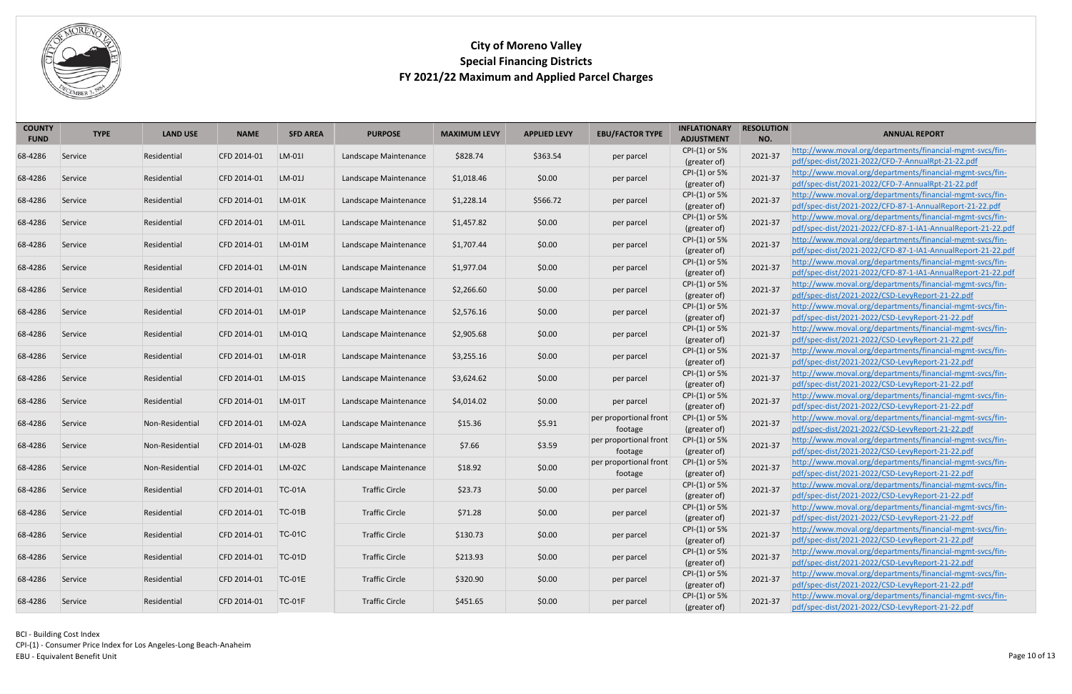

| <b>COUNTY</b><br><b>FUND</b> | <b>TYPE</b> | <b>LAND USE</b> | <b>NAME</b> | <b>SFD AREA</b> | <b>PURPOSE</b>        | <b>MAXIMUM LEVY</b> | <b>APPLIED LEVY</b> | <b>EBU/FACTOR TYPE</b>            | <b>INFLATIONARY</b><br><b>ADJUSTMENT</b> | <b>RESOLUTION</b><br>NO. | <b>ANNUAL REPORT</b>                                                                                                     |
|------------------------------|-------------|-----------------|-------------|-----------------|-----------------------|---------------------|---------------------|-----------------------------------|------------------------------------------|--------------------------|--------------------------------------------------------------------------------------------------------------------------|
| 68-4286                      | Service     | Residential     | CFD 2014-01 | LM-011          | Landscape Maintenance | \$828.74            | \$363.54            | per parcel                        | CPI-(1) or 5%<br>(greater of)            | 2021-37                  | http://www.moval.org/departments/financial-mgmt-svcs/fin-<br>pdf/spec-dist/2021-2022/CFD-7-AnnualRpt-21-22.pdf           |
| 68-4286                      | Service     | Residential     | CFD 2014-01 | $LM-01J$        | Landscape Maintenance | \$1,018.46          | \$0.00              | per parcel                        | CPI-(1) or 5%<br>(greater of)            | 2021-37                  | http://www.moval.org/departments/financial-mgmt-svcs/fin-<br>pdf/spec-dist/2021-2022/CFD-7-AnnualRpt-21-22.pdf           |
| 68-4286                      | Service     | Residential     | CFD 2014-01 | $LM-01K$        | Landscape Maintenance | \$1,228.14          | \$566.72            | per parcel                        | CPI-(1) or 5%<br>(greater of)            | 2021-37                  | http://www.moval.org/departments/financial-mgmt-svcs/fin-<br>pdf/spec-dist/2021-2022/CFD-87-1-AnnualReport-21-22.pdf     |
| 68-4286                      | Service     | Residential     | CFD 2014-01 | LM-01L          | Landscape Maintenance | \$1,457.82          | \$0.00              | per parcel                        | CPI-(1) or 5%<br>(greater of)            | 2021-37                  | http://www.moval.org/departments/financial-mgmt-svcs/fin-<br>pdf/spec-dist/2021-2022/CFD-87-1-IA1-AnnualReport-21-22.pdf |
| 68-4286                      | Service     | Residential     | CFD 2014-01 | $LM-01M$        | Landscape Maintenance | \$1,707.44          | \$0.00              | per parcel                        | CPI-(1) or 5%<br>(greater of)            | 2021-37                  | http://www.moval.org/departments/financial-mgmt-svcs/fin-<br>pdf/spec-dist/2021-2022/CFD-87-1-IA1-AnnualReport-21-22.pdf |
| 68-4286                      | Service     | Residential     | CFD 2014-01 | $LM-01N$        | Landscape Maintenance | \$1,977.04          | \$0.00              | per parcel                        | CPI-(1) or 5%<br>(greater of)            | 2021-37                  | http://www.moval.org/departments/financial-mgmt-svcs/fin-<br>pdf/spec-dist/2021-2022/CFD-87-1-IA1-AnnualReport-21-22.pdf |
| 68-4286                      | Service     | Residential     | CFD 2014-01 | LM-010          | Landscape Maintenance | \$2,266.60          | \$0.00              | per parcel                        | CPI-(1) or 5%<br>(greater of)            | 2021-37                  | http://www.moval.org/departments/financial-mgmt-svcs/fin-<br>pdf/spec-dist/2021-2022/CSD-LevyReport-21-22.pdf            |
| 68-4286                      | Service     | Residential     | CFD 2014-01 | $LM-01P$        | Landscape Maintenance | \$2,576.16          | \$0.00              | per parcel                        | CPI-(1) or 5%<br>(greater of)            | 2021-37                  | http://www.moval.org/departments/financial-mgmt-svcs/fin-<br>pdf/spec-dist/2021-2022/CSD-LevyReport-21-22.pdf            |
| 68-4286                      | Service     | Residential     | CFD 2014-01 | $LM-01Q$        | Landscape Maintenance | \$2,905.68          | \$0.00              | per parcel                        | CPI-(1) or 5%<br>(greater of)            | 2021-37                  | http://www.moval.org/departments/financial-mgmt-svcs/fin-<br>pdf/spec-dist/2021-2022/CSD-LevyReport-21-22.pdf            |
| 68-4286                      | Service     | Residential     | CFD 2014-01 | $LM-01R$        | Landscape Maintenance | \$3,255.16          | \$0.00              | per parcel                        | CPI-(1) or 5%<br>(greater of)            | 2021-37                  | http://www.moval.org/departments/financial-mgmt-svcs/fin-<br>pdf/spec-dist/2021-2022/CSD-LevyReport-21-22.pdf            |
| 68-4286                      | Service     | Residential     | CFD 2014-01 | LM-01S          | Landscape Maintenance | \$3,624.62          | \$0.00              | per parcel                        | CPI-(1) or 5%<br>(greater of)            | 2021-37                  | http://www.moval.org/departments/financial-mgmt-svcs/fin-<br>pdf/spec-dist/2021-2022/CSD-LevyReport-21-22.pdf            |
| 68-4286                      | Service     | Residential     | CFD 2014-01 | $LM-01T$        | Landscape Maintenance | \$4,014.02          | \$0.00              | per parcel                        | CPI-(1) or 5%<br>(greater of)            | 2021-37                  | http://www.moval.org/departments/financial-mgmt-svcs/fin-<br>pdf/spec-dist/2021-2022/CSD-LevyReport-21-22.pdf            |
| 68-4286                      | Service     | Non-Residential | CFD 2014-01 | $LM-02A$        | Landscape Maintenance | \$15.36             | \$5.91              | per proportional front<br>footage | CPI-(1) or 5%<br>(greater of)            | 2021-37                  | http://www.moval.org/departments/financial-mgmt-svcs/fin-<br>pdf/spec-dist/2021-2022/CSD-LevyReport-21-22.pdf            |
| 68-4286                      | Service     | Non-Residential | CFD 2014-01 | LM-02B          | Landscape Maintenance | \$7.66              | \$3.59              | per proportional front<br>footage | CPI-(1) or 5%<br>(greater of)            | 2021-37                  | http://www.moval.org/departments/financial-mgmt-svcs/fin-<br>pdf/spec-dist/2021-2022/CSD-LevyReport-21-22.pdf            |
| 68-4286                      | Service     | Non-Residential | CFD 2014-01 | $LM-02C$        | Landscape Maintenance | \$18.92             | \$0.00              | per proportional front<br>footage | CPI-(1) or 5%<br>(greater of)            | 2021-37                  | http://www.moval.org/departments/financial-mgmt-svcs/fin-<br>pdf/spec-dist/2021-2022/CSD-LevyReport-21-22.pdf            |
| 68-4286                      | Service     | Residential     | CFD 2014-01 | <b>TC-01A</b>   | <b>Traffic Circle</b> | \$23.73             | \$0.00              | per parcel                        | CPI-(1) or 5%<br>(greater of)            | 2021-37                  | http://www.moval.org/departments/financial-mgmt-svcs/fin-<br>pdf/spec-dist/2021-2022/CSD-LevyReport-21-22.pdf            |
| 68-4286                      | Service     | Residential     | CFD 2014-01 | $TC-01B$        | <b>Traffic Circle</b> | \$71.28             | \$0.00              | per parcel                        | CPI-(1) or 5%<br>(greater of)            | 2021-37                  | http://www.moval.org/departments/financial-mgmt-svcs/fin-<br>pdf/spec-dist/2021-2022/CSD-LevyReport-21-22.pdf            |
| 68-4286                      | Service     | Residential     | CFD 2014-01 | $TC-01C$        | <b>Traffic Circle</b> | \$130.73            | \$0.00              | per parcel                        | CPI-(1) or 5%<br>(greater of)            | 2021-37                  | http://www.moval.org/departments/financial-mgmt-svcs/fin-<br>pdf/spec-dist/2021-2022/CSD-LevyReport-21-22.pdf            |
| 68-4286                      | Service     | Residential     | CFD 2014-01 | $TC-01D$        | <b>Traffic Circle</b> | \$213.93            | \$0.00              | per parcel                        | CPI-(1) or 5%<br>(greater of)            | 2021-37                  | http://www.moval.org/departments/financial-mgmt-svcs/fin-<br>pdf/spec-dist/2021-2022/CSD-LevyReport-21-22.pdf            |
| 68-4286                      | Service     | Residential     | CFD 2014-01 | <b>TC-01E</b>   | <b>Traffic Circle</b> | \$320.90            | \$0.00              | per parcel                        | CPI-(1) or 5%<br>(greater of)            | 2021-37                  | http://www.moval.org/departments/financial-mgmt-svcs/fin-<br>pdf/spec-dist/2021-2022/CSD-LevyReport-21-22.pdf            |
| 68-4286                      | Service     | Residential     | CFD 2014-01 | $TC-01F$        | <b>Traffic Circle</b> | \$451.65            | \$0.00              | per parcel                        | CPI-(1) or 5%<br>(greater of)            | 2021-37                  | http://www.moval.org/departments/financial-mgmt-svcs/fin-<br>pdf/spec-dist/2021-2022/CSD-LevyReport-21-22.pdf            |

BCI - Building Cost Index CPI-(1) - Consumer Price Index for Los Angeles-Long Beach-Anaheim Page 10 of 13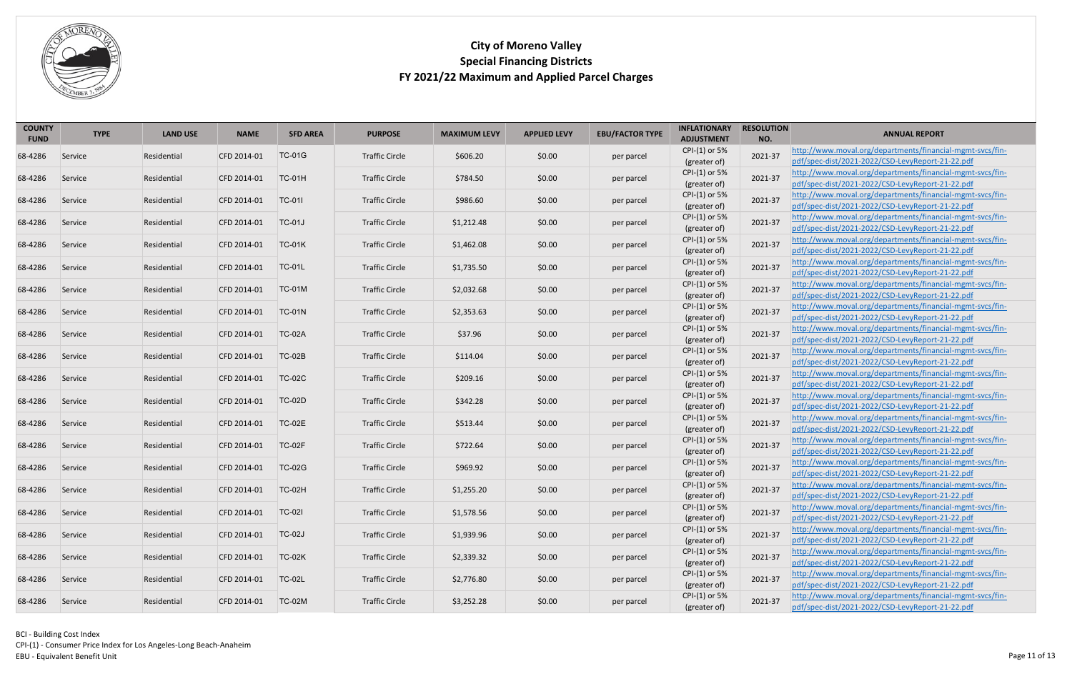

| <b>COUNTY</b><br><b>FUND</b> | <b>TYPE</b> | <b>LAND USE</b> | <b>NAME</b> | <b>SFD AREA</b> | <b>PURPOSE</b>        | <b>MAXIMUM LEVY</b> | <b>APPLIED LEVY</b> | <b>EBU/FACTOR TYPE</b> | <b>INFLATIONARY</b><br><b>ADJUSTMENT</b> | <b>RESOLUTION</b><br>NO. | <b>ANNUAL REPORT</b>                                                                                          |
|------------------------------|-------------|-----------------|-------------|-----------------|-----------------------|---------------------|---------------------|------------------------|------------------------------------------|--------------------------|---------------------------------------------------------------------------------------------------------------|
| 68-4286                      | Service     | Residential     | CFD 2014-01 | <b>TC-01G</b>   | <b>Traffic Circle</b> | \$606.20            | \$0.00              | per parcel             | CPI-(1) or 5%<br>(greater of)            | 2021-37                  | http://www.moval.org/departments/financial-mgmt-svcs/fin-<br>pdf/spec-dist/2021-2022/CSD-LevyReport-21-22.pdf |
| 68-4286                      | Service     | Residential     | CFD 2014-01 | <b>TC-01H</b>   | <b>Traffic Circle</b> | \$784.50            | \$0.00              | per parcel             | CPI-(1) or 5%<br>(greater of)            | 2021-37                  | http://www.moval.org/departments/financial-mgmt-svcs/fin-<br>pdf/spec-dist/2021-2022/CSD-LevyReport-21-22.pdf |
| 68-4286                      | Service     | Residential     | CFD 2014-01 | <b>TC-01I</b>   | <b>Traffic Circle</b> | \$986.60            | \$0.00              | per parcel             | CPI-(1) or 5%<br>(greater of)            | 2021-37                  | http://www.moval.org/departments/financial-mgmt-svcs/fin-<br>pdf/spec-dist/2021-2022/CSD-LevyReport-21-22.pdf |
| 68-4286                      | Service     | Residential     | CFD 2014-01 | <b>TC-01J</b>   | <b>Traffic Circle</b> | \$1,212.48          | \$0.00              | per parcel             | CPI-(1) or 5%<br>(greater of)            | 2021-37                  | http://www.moval.org/departments/financial-mgmt-svcs/fin-<br>pdf/spec-dist/2021-2022/CSD-LevyReport-21-22.pdf |
| 68-4286                      | Service     | Residential     | CFD 2014-01 | <b>TC-01K</b>   | <b>Traffic Circle</b> | \$1,462.08          | \$0.00              | per parcel             | CPI-(1) or 5%<br>(greater of)            | 2021-37                  | http://www.moval.org/departments/financial-mgmt-svcs/fin-<br>pdf/spec-dist/2021-2022/CSD-LevyReport-21-22.pdf |
| 68-4286                      | Service     | Residential     | CFD 2014-01 | <b>TC-01L</b>   | <b>Traffic Circle</b> | \$1,735.50          | \$0.00              | per parcel             | CPI-(1) or 5%<br>(greater of)            | 2021-37                  | http://www.moval.org/departments/financial-mgmt-svcs/fin-<br>pdf/spec-dist/2021-2022/CSD-LevyReport-21-22.pdf |
| 68-4286                      | Service     | Residential     | CFD 2014-01 | <b>TC-01M</b>   | <b>Traffic Circle</b> | \$2,032.68          | \$0.00              | per parcel             | CPI-(1) or 5%<br>(greater of)            | 2021-37                  | http://www.moval.org/departments/financial-mgmt-svcs/fin-<br>pdf/spec-dist/2021-2022/CSD-LevyReport-21-22.pdf |
| 68-4286                      | Service     | Residential     | CFD 2014-01 | <b>TC-01N</b>   | <b>Traffic Circle</b> | \$2,353.63          | \$0.00              | per parcel             | CPI-(1) or 5%<br>(greater of)            | 2021-37                  | http://www.moval.org/departments/financial-mgmt-svcs/fin-<br>pdf/spec-dist/2021-2022/CSD-LevyReport-21-22.pdf |
| 68-4286                      | Service     | Residential     | CFD 2014-01 | <b>TC-02A</b>   | <b>Traffic Circle</b> | \$37.96             | \$0.00              | per parcel             | CPI-(1) or 5%<br>(greater of)            | 2021-37                  | http://www.moval.org/departments/financial-mgmt-svcs/fin-<br>pdf/spec-dist/2021-2022/CSD-LevyReport-21-22.pdf |
| 68-4286                      | Service     | Residential     | CFD 2014-01 | <b>TC-02B</b>   | <b>Traffic Circle</b> | \$114.04            | \$0.00              | per parcel             | CPI-(1) or 5%<br>(greater of)            | 2021-37                  | http://www.moval.org/departments/financial-mgmt-svcs/fin-<br>pdf/spec-dist/2021-2022/CSD-LevyReport-21-22.pdf |
| 68-4286                      | Service     | Residential     | CFD 2014-01 | <b>TC-02C</b>   | <b>Traffic Circle</b> | \$209.16            | \$0.00              | per parcel             | CPI-(1) or 5%<br>(greater of)            | 2021-37                  | http://www.moval.org/departments/financial-mgmt-svcs/fin-<br>pdf/spec-dist/2021-2022/CSD-LevyReport-21-22.pdf |
| 68-4286                      | Service     | Residential     | CFD 2014-01 | <b>TC-02D</b>   | <b>Traffic Circle</b> | \$342.28            | \$0.00              | per parcel             | CPI-(1) or 5%<br>(greater of)            | 2021-37                  | http://www.moval.org/departments/financial-mgmt-svcs/fin-<br>pdf/spec-dist/2021-2022/CSD-LevyReport-21-22.pdf |
| 68-4286                      | Service     | Residential     | CFD 2014-01 | <b>TC-02E</b>   | <b>Traffic Circle</b> | \$513.44            | \$0.00              | per parcel             | CPI-(1) or 5%<br>(greater of)            | 2021-37                  | http://www.moval.org/departments/financial-mgmt-svcs/fin-<br>pdf/spec-dist/2021-2022/CSD-LevyReport-21-22.pdf |
| 68-4286                      | Service     | Residential     | CFD 2014-01 | <b>TC-02F</b>   | <b>Traffic Circle</b> | \$722.64            | \$0.00              | per parcel             | CPI-(1) or 5%<br>(greater of)            | 2021-37                  | http://www.moval.org/departments/financial-mgmt-svcs/fin-<br>pdf/spec-dist/2021-2022/CSD-LevyReport-21-22.pdf |
| 68-4286                      | Service     | Residential     | CFD 2014-01 | <b>TC-02G</b>   | <b>Traffic Circle</b> | \$969.92            | \$0.00              | per parcel             | CPI-(1) or 5%<br>(greater of)            | 2021-37                  | http://www.moval.org/departments/financial-mgmt-svcs/fin-<br>pdf/spec-dist/2021-2022/CSD-LevyReport-21-22.pdf |
| 68-4286                      | Service     | Residential     | CFD 2014-01 | <b>TC-02H</b>   | <b>Traffic Circle</b> | \$1,255.20          | \$0.00              | per parcel             | CPI-(1) or 5%<br>(greater of)            | 2021-37                  | http://www.moval.org/departments/financial-mgmt-svcs/fin-<br>pdf/spec-dist/2021-2022/CSD-LevyReport-21-22.pdf |
| 68-4286                      | Service     | Residential     | CFD 2014-01 | $TC-02I$        | <b>Traffic Circle</b> | \$1,578.56          | \$0.00              | per parcel             | CPI-(1) or 5%<br>(greater of)            | 2021-37                  | http://www.moval.org/departments/financial-mgmt-svcs/fin-<br>pdf/spec-dist/2021-2022/CSD-LevyReport-21-22.pdf |
| 68-4286                      | Service     | Residential     | CFD 2014-01 | <b>TC-02J</b>   | <b>Traffic Circle</b> | \$1,939.96          | \$0.00              | per parcel             | CPI-(1) or 5%<br>(greater of)            | 2021-37                  | http://www.moval.org/departments/financial-mgmt-svcs/fin-<br>pdf/spec-dist/2021-2022/CSD-LevyReport-21-22.pdf |
| 68-4286                      | Service     | Residential     | CFD 2014-01 | <b>TC-02K</b>   | <b>Traffic Circle</b> | \$2,339.32          | \$0.00              | per parcel             | CPI-(1) or 5%<br>(greater of)            | 2021-37                  | http://www.moval.org/departments/financial-mgmt-svcs/fin-<br>pdf/spec-dist/2021-2022/CSD-LevyReport-21-22.pdf |
| 68-4286                      | Service     | Residential     | CFD 2014-01 | <b>TC-02L</b>   | <b>Traffic Circle</b> | \$2,776.80          | \$0.00              | per parcel             | CPI-(1) or 5%<br>(greater of)            | 2021-37                  | http://www.moval.org/departments/financial-mgmt-svcs/fin-<br>pdf/spec-dist/2021-2022/CSD-LevyReport-21-22.pdf |
| 68-4286                      | Service     | Residential     | CFD 2014-01 | <b>TC-02M</b>   | <b>Traffic Circle</b> | \$3,252.28          | \$0.00              | per parcel             | CPI-(1) or 5%<br>(greater of)            | 2021-37                  | http://www.moval.org/departments/financial-mgmt-svcs/fin-<br>pdf/spec-dist/2021-2022/CSD-LevyReport-21-22.pdf |

BCI - Building Cost Index CPI-(1) - Consumer Price Index for Los Angeles-Long Beach-Anaheim Page 11 of 13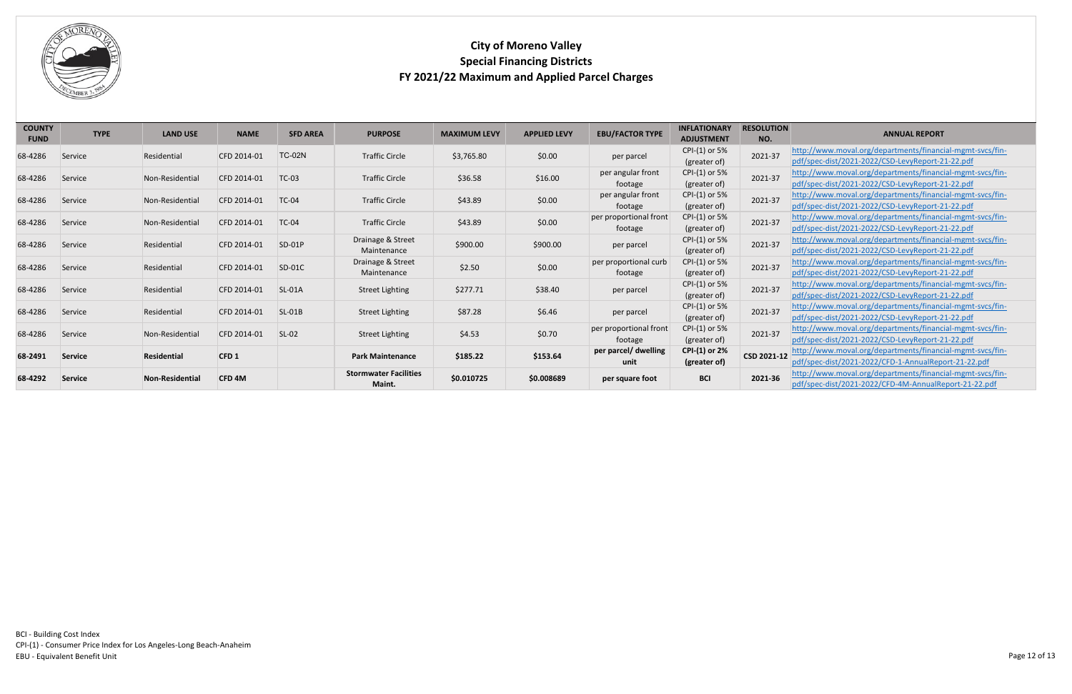

<span id="page-11-1"></span><span id="page-11-0"></span>

| <b>COUNTY</b> | <b>TYPE</b>    |                        |                   |                 |                              |                     |                     | <b>EBU/FACTOR TYPE</b> | <b>INFLATIONARY</b> | <b>RESOLUTION</b> |                                                           |
|---------------|----------------|------------------------|-------------------|-----------------|------------------------------|---------------------|---------------------|------------------------|---------------------|-------------------|-----------------------------------------------------------|
| <b>FUND</b>   |                | <b>LAND USE</b>        | <b>NAME</b>       | <b>SFD AREA</b> | <b>PURPOSE</b>               | <b>MAXIMUM LEVY</b> | <b>APPLIED LEVY</b> |                        | <b>ADJUSTMENT</b>   | NO.               | <b>ANNUAL REPORT</b>                                      |
|               |                |                        |                   | <b>TC-02N</b>   |                              |                     | \$0.00              |                        | CPI-(1) or 5%       | 2021-37           | http://www.moval.org/departments/financial-mgmt-svcs/fin- |
| 68-4286       | Service        | Residential            | CFD 2014-01       |                 | <b>Traffic Circle</b>        | \$3,765.80          |                     | per parcel             | (greater of)        |                   | pdf/spec-dist/2021-2022/CSD-LevyReport-21-22.pdf          |
|               |                |                        | CFD 2014-01       | <b>TC-03</b>    | <b>Traffic Circle</b>        |                     | \$16.00             | per angular front      | CPI-(1) or 5%       | 2021-37           | http://www.moval.org/departments/financial-mgmt-svcs/fin- |
| 68-4286       | Service        | Non-Residential        |                   |                 |                              | \$36.58             |                     | footage                | (greater of)        |                   | pdf/spec-dist/2021-2022/CSD-LevyReport-21-22.pdf          |
| 68-4286       | Service        | Non-Residential        | CFD 2014-01       | <b>TC-04</b>    | <b>Traffic Circle</b>        | \$43.89             | \$0.00              | per angular front      | CPI-(1) or 5%       | 2021-37           | http://www.moval.org/departments/financial-mgmt-svcs/fin- |
|               |                |                        |                   |                 |                              |                     |                     | footage                | (greater of)        |                   | pdf/spec-dist/2021-2022/CSD-LevyReport-21-22.pdf          |
| 68-4286       | Service        | Non-Residential        | CFD 2014-01       | <b>TC-04</b>    | <b>Traffic Circle</b>        | \$43.89             | \$0.00              | per proportional front | CPI-(1) or 5%       | 2021-37           | http://www.moval.org/departments/financial-mgmt-svcs/fin- |
|               |                |                        |                   |                 |                              |                     |                     | footage                | (greater of)        |                   | pdf/spec-dist/2021-2022/CSD-LevyReport-21-22.pdf          |
| 68-4286       | Service        | Residential            | CFD 2014-01       | $SD-01P$        | Drainage & Street            | \$900.00            | \$900.00            | per parcel             | CPI-(1) or 5%       | 2021-37           | http://www.moval.org/departments/financial-mgmt-svcs/fin- |
|               |                |                        |                   |                 | Maintenance                  |                     |                     |                        | (greater of)        |                   | pdf/spec-dist/2021-2022/CSD-LevyReport-21-22.pdf          |
| 68-4286       | Service        | Residential            | CFD 2014-01       | $SD-01C$        | Drainage & Street            | \$2.50              | \$0.00              | per proportional curb  | CPI-(1) or 5%       | 2021-37           | http://www.moval.org/departments/financial-mgmt-svcs/fin- |
|               |                |                        |                   |                 | Maintenance                  |                     |                     | footage                | (greater of)        |                   | pdf/spec-dist/2021-2022/CSD-LevyReport-21-22.pdf          |
| 68-4286       | Service        | Residential            | CFD 2014-01       | <b>SL-01A</b>   | <b>Street Lighting</b>       | \$277.71            | \$38.40             | per parcel             | CPI-(1) or 5%       | 2021-37           | http://www.moval.org/departments/financial-mgmt-svcs/fin- |
|               |                |                        |                   |                 |                              |                     |                     |                        | (greater of)        |                   | pdf/spec-dist/2021-2022/CSD-LevyReport-21-22.pdf          |
| 68-4286       | Service        | Residential            | CFD 2014-01       | $SL-01B$        | <b>Street Lighting</b>       | \$87.28             | \$6.46              | per parcel             | CPI-(1) or 5%       | 2021-37           | http://www.moval.org/departments/financial-mgmt-svcs/fin- |
|               |                |                        |                   |                 |                              |                     |                     |                        | (greater of)        |                   | pdf/spec-dist/2021-2022/CSD-LevyReport-21-22.pdf          |
| 68-4286       | Service        | Non-Residential        | CFD 2014-01       | $SL-02$         | <b>Street Lighting</b>       | \$4.53              | \$0.70              | per proportional front | CPI-(1) or 5%       | 2021-37           | http://www.moval.org/departments/financial-mgmt-svcs/fin- |
|               |                |                        |                   |                 |                              |                     |                     | footage                | (greater of)        |                   | pdf/spec-dist/2021-2022/CSD-LevyReport-21-22.pdf          |
| 68-2491       | <b>Service</b> | Residential            | CFD1              |                 | <b>Park Maintenance</b>      | \$185.22            | \$153.64            | per parcel/ dwelling   | CPI-(1) or 2%       | CSD 2021-12       | http://www.moval.org/departments/financial-mgmt-svcs/fin- |
|               |                |                        |                   |                 |                              |                     |                     | unit                   | (greater of)        |                   | pdf/spec-dist/2021-2022/CFD-1-AnnualReport-21-22.pdf      |
| 68-4292       | <b>Service</b> | <b>Non-Residential</b> | CFD <sub>4M</sub> |                 | <b>Stormwater Facilities</b> | \$0.010725          | \$0.008689          | per square foot        | <b>BCI</b>          | 2021-36           | http://www.moval.org/departments/financial-mgmt-svcs/fin- |
|               |                |                        |                   |                 | Maint.                       |                     |                     |                        |                     |                   | pdf/spec-dist/2021-2022/CFD-4M-AnnualReport-21-22.pdf     |